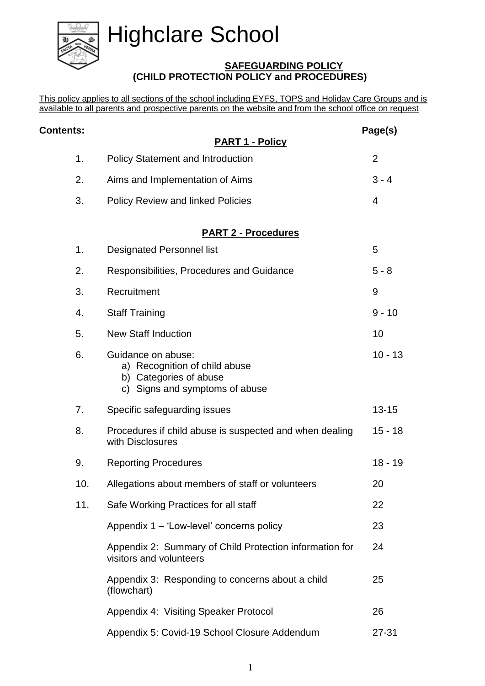# Highclare School



# **SAFEGUARDING POLICY (CHILD PROTECTION POLICY and PROCEDURES)**

This policy applies to all sections of the school including EYFS, TOPS and Holiday Care Groups and is available to all parents and prospective parents on the website and from the school office on request

| <b>Contents:</b> |                                                                                                                 | Page(s)        |  |
|------------------|-----------------------------------------------------------------------------------------------------------------|----------------|--|
|                  | <b>PART 1 - Policy</b>                                                                                          |                |  |
| 1.               | <b>Policy Statement and Introduction</b>                                                                        | $\overline{2}$ |  |
| 2.               | Aims and Implementation of Aims                                                                                 | $3 - 4$        |  |
| 3.               | <b>Policy Review and linked Policies</b>                                                                        | 4              |  |
|                  | <b>PART 2 - Procedures</b>                                                                                      |                |  |
| 1.               | <b>Designated Personnel list</b>                                                                                | 5              |  |
| 2.               | Responsibilities, Procedures and Guidance                                                                       | $5 - 8$        |  |
| 3.               | Recruitment                                                                                                     | 9              |  |
| 4.               | <b>Staff Training</b>                                                                                           | $9 - 10$       |  |
| 5.               | <b>New Staff Induction</b>                                                                                      | 10             |  |
| 6.               | Guidance on abuse:<br>a) Recognition of child abuse<br>b) Categories of abuse<br>c) Signs and symptoms of abuse | $10 - 13$      |  |
| 7.               | Specific safeguarding issues                                                                                    | $13 - 15$      |  |
| 8.               | Procedures if child abuse is suspected and when dealing<br>with Disclosures                                     | $15 - 18$      |  |
| 9.               | <b>Reporting Procedures</b>                                                                                     | $18 - 19$      |  |
| 10.              | Allegations about members of staff or volunteers                                                                | 20             |  |
| 11.              | Safe Working Practices for all staff                                                                            | 22             |  |
|                  | Appendix 1 – 'Low-level' concerns policy                                                                        | 23             |  |
|                  | Appendix 2: Summary of Child Protection information for<br>visitors and volunteers                              | 24             |  |
|                  | Appendix 3: Responding to concerns about a child<br>(flowchart)                                                 | 25             |  |
|                  | Appendix 4: Visiting Speaker Protocol                                                                           | 26             |  |
|                  | Appendix 5: Covid-19 School Closure Addendum                                                                    | $27 - 31$      |  |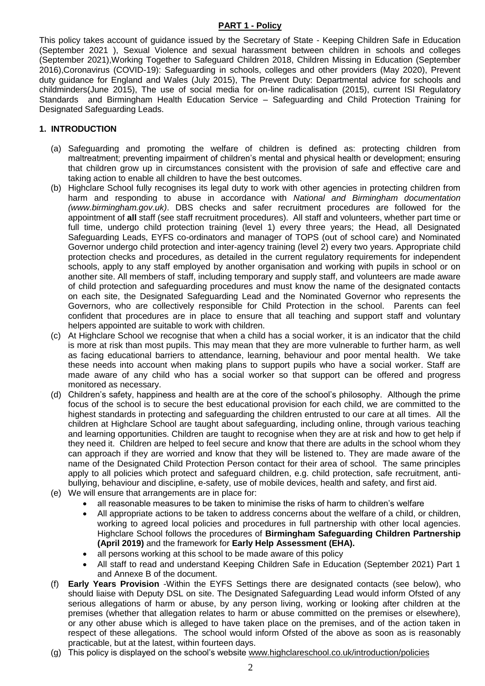#### **PART 1 - Policy**

This policy takes account of guidance issued by the Secretary of State - Keeping Children Safe in Education (September 2021 ), Sexual Violence and sexual harassment between children in schools and colleges (September 2021),Working Together to Safeguard Children 2018, Children Missing in Education (September 2016),Coronavirus (COVID-19): Safeguarding in schools, colleges and other providers (May 2020), Prevent duty guidance for England and Wales (July 2015), The Prevent Duty: Departmental advice for schools and childminders(June 2015), The use of social media for on-line radicalisation (2015), current ISI Regulatory Standards and Birmingham Health Education Service – Safeguarding and Child Protection Training for Designated Safeguarding Leads.

#### **1. INTRODUCTION**

- (a) Safeguarding and promoting the welfare of children is defined as: protecting children from maltreatment; preventing impairment of children's mental and physical health or development; ensuring that children grow up in circumstances consistent with the provision of safe and effective care and taking action to enable all children to have the best outcomes.
- (b) Highclare School fully recognises its legal duty to work with other agencies in protecting children from harm and responding to abuse in accordance with *National and Birmingham documentation (www.birmingham.gov.uk)*. DBS checks and safer recruitment procedures are followed for the appointment of **all** staff (see staff recruitment procedures). All staff and volunteers, whether part time or full time, undergo child protection training (level 1) every three years; the Head, all Designated Safeguarding Leads, EYFS co-ordinators and manager of TOPS (out of school care) and Nominated Governor undergo child protection and inter-agency training (level 2) every two years. Appropriate child protection checks and procedures, as detailed in the current regulatory requirements for independent schools, apply to any staff employed by another organisation and working with pupils in school or on another site. All members of staff, including temporary and supply staff, and volunteers are made aware of child protection and safeguarding procedures and must know the name of the designated contacts on each site, the Designated Safeguarding Lead and the Nominated Governor who represents the Governors, who are collectively responsible for Child Protection in the school. Parents can feel confident that procedures are in place to ensure that all teaching and support staff and voluntary helpers appointed are suitable to work with children.
- (c) At Highclare School we recognise that when a child has a social worker, it is an indicator that the child is more at risk than most pupils. This may mean that they are more vulnerable to further harm, as well as facing educational barriers to attendance, learning, behaviour and poor mental health. We take these needs into account when making plans to support pupils who have a social worker. Staff are made aware of any child who has a social worker so that support can be offered and progress monitored as necessary.
- (d) Children's safety, happiness and health are at the core of the school's philosophy. Although the prime focus of the school is to secure the best educational provision for each child, we are committed to the highest standards in protecting and safeguarding the children entrusted to our care at all times. All the children at Highclare School are taught about safeguarding, including online, through various teaching and learning opportunities. Children are taught to recognise when they are at risk and how to get help if they need it. Children are helped to feel secure and know that there are adults in the school whom they can approach if they are worried and know that they will be listened to. They are made aware of the name of the Designated Child Protection Person contact for their area of school. The same principles apply to all policies which protect and safeguard children, e.g. child protection, safe recruitment, antibullying, behaviour and discipline, e-safety, use of mobile devices, health and safety, and first aid.
- (e) We will ensure that arrangements are in place for:
	- all reasonable measures to be taken to minimise the risks of harm to children's welfare
	- All appropriate actions to be taken to address concerns about the welfare of a child, or children, working to agreed local policies and procedures in full partnership with other local agencies. Highclare School follows the procedures of **Birmingham Safeguarding Children Partnership (April 2019)** and the framework for **Early Help Assessment (EHA).**
	- all persons working at this school to be made aware of this policy
	- All staff to read and understand Keeping Children Safe in Education (September 2021) Part 1 and Annexe B of the document.
- (f) **Early Years Provision** -Within the EYFS Settings there are designated contacts (see below), who should liaise with Deputy DSL on site. The Designated Safeguarding Lead would inform Ofsted of any serious allegations of harm or abuse, by any person living, working or looking after children at the premises (whether that allegation relates to harm or abuse committed on the premises or elsewhere), or any other abuse which is alleged to have taken place on the premises, and of the action taken in respect of these allegations. The school would inform Ofsted of the above as soon as is reasonably practicable, but at the latest, within fourteen days.
- (g) This policy is displayed on the school's website [www.highclareschool.co.uk/introduction/policies](http://www.highclareschool.co.uk/introduction/policies)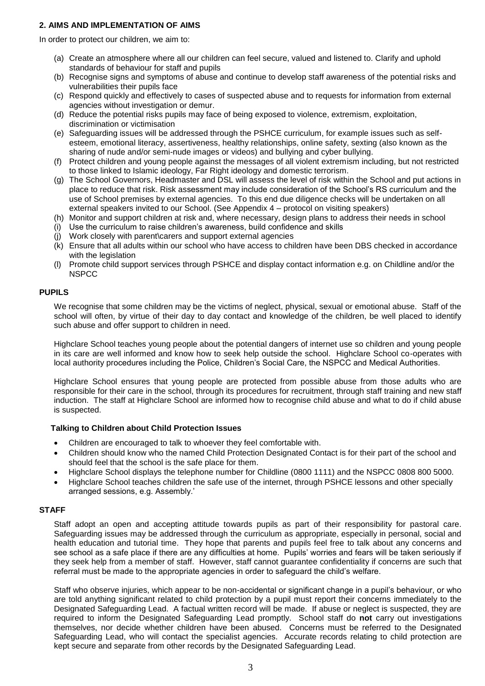#### **2. AIMS AND IMPLEMENTATION OF AIMS**

In order to protect our children, we aim to:

- (a) Create an atmosphere where all our children can feel secure, valued and listened to. Clarify and uphold standards of behaviour for staff and pupils
- (b) Recognise signs and symptoms of abuse and continue to develop staff awareness of the potential risks and vulnerabilities their pupils face
- (c) Respond quickly and effectively to cases of suspected abuse and to requests for information from external agencies without investigation or demur.
- (d) Reduce the potential risks pupils may face of being exposed to violence, extremism, exploitation, discrimination or victimisation
- (e) Safeguarding issues will be addressed through the PSHCE curriculum, for example issues such as selfesteem, emotional literacy, assertiveness, healthy relationships, online safety, sexting (also known as the sharing of nude and/or semi-nude images or videos) and bullying and cyber bullying.
- (f) Protect children and young people against the messages of all violent extremism including, but not restricted to those linked to Islamic ideology, Far Right ideology and domestic terrorism.
- (g) The School Governors, Headmaster and DSL will assess the level of risk within the School and put actions in place to reduce that risk. Risk assessment may include consideration of the School's RS curriculum and the use of School premises by external agencies. To this end due diligence checks will be undertaken on all external speakers invited to our School. (See Appendix 4 – protocol on visiting speakers)
- (h) Monitor and support children at risk and, where necessary, design plans to address their needs in school
- (i) Use the curriculum to raise children's awareness, build confidence and skills
- (j) Work closely with parent\carers and support external agencies
- (k) Ensure that all adults within our school who have access to children have been DBS checked in accordance with the legislation
- (l) Promote child support services through PSHCE and display contact information e.g. on Childline and/or the **NSPCC**

#### **PUPILS**

We recognise that some children may be the victims of neglect, physical, sexual or emotional abuse. Staff of the school will often, by virtue of their day to day contact and knowledge of the children, be well placed to identify such abuse and offer support to children in need.

Highclare School teaches young people about the potential dangers of internet use so children and young people in its care are well informed and know how to seek help outside the school. Highclare School co-operates with local authority procedures including the Police, Children's Social Care, the NSPCC and Medical Authorities.

Highclare School ensures that young people are protected from possible abuse from those adults who are responsible for their care in the school, through its procedures for recruitment, through staff training and new staff induction. The staff at Highclare School are informed how to recognise child abuse and what to do if child abuse is suspected.

#### **Talking to Children about Child Protection Issues**

- Children are encouraged to talk to whoever they feel comfortable with.
- Children should know who the named Child Protection Designated Contact is for their part of the school and should feel that the school is the safe place for them.
- Highclare School displays the telephone number for Childline (0800 1111) and the NSPCC 0808 800 5000.
- Highclare School teaches children the safe use of the internet, through PSHCE lessons and other specially arranged sessions, e.g. Assembly.'

#### **STAFF**

Staff adopt an open and accepting attitude towards pupils as part of their responsibility for pastoral care. Safeguarding issues may be addressed through the curriculum as appropriate, especially in personal, social and health education and tutorial time. They hope that parents and pupils feel free to talk about any concerns and see school as a safe place if there are any difficulties at home. Pupils' worries and fears will be taken seriously if they seek help from a member of staff. However, staff cannot guarantee confidentiality if concerns are such that referral must be made to the appropriate agencies in order to safeguard the child's welfare.

Staff who observe injuries, which appear to be non-accidental or significant change in a pupil's behaviour, or who are told anything significant related to child protection by a pupil must report their concerns immediately to the Designated Safeguarding Lead. A factual written record will be made. If abuse or neglect is suspected, they are required to inform the Designated Safeguarding Lead promptly. School staff do **not** carry out investigations themselves, nor decide whether children have been abused. Concerns must be referred to the Designated Safeguarding Lead, who will contact the specialist agencies. Accurate records relating to child protection are kept secure and separate from other records by the Designated Safeguarding Lead.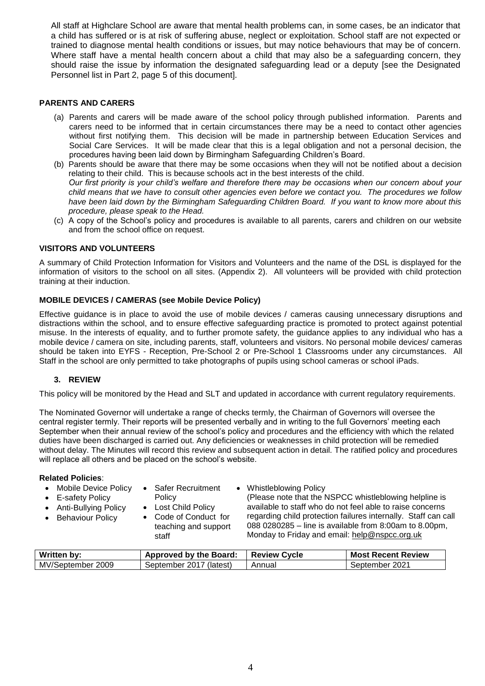All staff at Highclare School are aware that mental health problems can, in some cases, be an indicator that a child has suffered or is at risk of suffering abuse, neglect or exploitation. School staff are not expected or trained to diagnose mental health conditions or issues, but may notice behaviours that may be of concern. Where staff have a mental health concern about a child that may also be a safeguarding concern, they should raise the issue by information the designated safeguarding lead or a deputy [see the Designated Personnel list in Part 2, page 5 of this document].

#### **PARENTS AND CARERS**

- (a) Parents and carers will be made aware of the school policy through published information. Parents and carers need to be informed that in certain circumstances there may be a need to contact other agencies without first notifying them. This decision will be made in partnership between Education Services and Social Care Services. It will be made clear that this is a legal obligation and not a personal decision, the procedures having been laid down by Birmingham Safeguarding Children's Board.
- (b) Parents should be aware that there may be some occasions when they will not be notified about a decision relating to their child. This is because schools act in the best interests of the child. *Our first priority is your child's welfare and therefore there may be occasions when our concern about your child means that we have to consult other agencies even before we contact you. The procedures we follow have been laid down by the Birmingham Safeguarding Children Board. If you want to know more about this procedure, please speak to the Head.*
- (c) A copy of the School's policy and procedures is available to all parents, carers and children on our website and from the school office on request.

#### **VISITORS AND VOLUNTEERS**

A summary of Child Protection Information for Visitors and Volunteers and the name of the DSL is displayed for the information of visitors to the school on all sites. (Appendix 2). All volunteers will be provided with child protection training at their induction.

#### **MOBILE DEVICES / CAMERAS (see Mobile Device Policy)**

Effective guidance is in place to avoid the use of mobile devices / cameras causing unnecessary disruptions and distractions within the school, and to ensure effective safeguarding practice is promoted to protect against potential misuse. In the interests of equality, and to further promote safety, the guidance applies to any individual who has a mobile device / camera on site, including parents, staff, volunteers and visitors. No personal mobile devices/ cameras should be taken into EYFS - Reception, Pre-School 2 or Pre-School 1 Classrooms under any circumstances. All Staff in the school are only permitted to take photographs of pupils using school cameras or school iPads.

#### **3. REVIEW**

This policy will be monitored by the Head and SLT and updated in accordance with current regulatory requirements.

The Nominated Governor will undertake a range of checks termly, the Chairman of Governors will oversee the central register termly. Their reports will be presented verbally and in writing to the full Governors' meeting each September when their annual review of the school's policy and procedures and the efficiency with which the related duties have been discharged is carried out. Any deficiencies or weaknesses in child protection will be remedied without delay. The Minutes will record this review and subsequent action in detail. The ratified policy and procedures will replace all others and be placed on the school's website.

#### **Related Policies**:

| Mobile Device Policy   | <b>Safer Recruitment</b>                      | <b>Whistleblowing Policy</b>                                                                                             |
|------------------------|-----------------------------------------------|--------------------------------------------------------------------------------------------------------------------------|
| • E-safety Policy      | Policy                                        | (Please note that the NSPCC whistleblowing helpline is                                                                   |
| • Anti-Bullying Policy | • Lost Child Policy                           | available to staff who do not feel able to raise concerns                                                                |
| • Behaviour Policy     | • Code of Conduct for<br>teaching and support | regarding child protection failures internally. Staff can call<br>088 0280285 – line is available from 8:00am to 8.00pm, |
|                        | staff                                         | Monday to Friday and email: help@nspcc.org.uk                                                                            |

| Written by:       | <b>Approved by the Board:</b> | <b>Review Cycle</b> | <b>Most Recent Review</b> |
|-------------------|-------------------------------|---------------------|---------------------------|
| MV/September 2009 | September 2017 (latest)       | Annual              | September 2021            |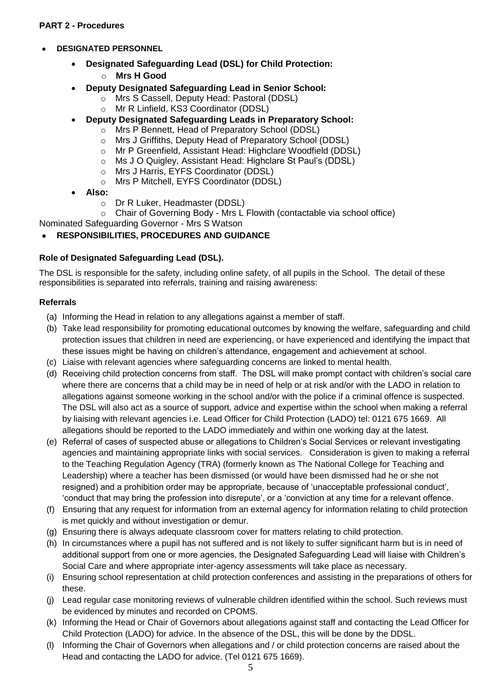#### **PART 2 - Procedures**

#### **DESIGNATED PERSONNEL**

- **Designated Safeguarding Lead (DSL) for Child Protection:**
	- o **Mrs H Good**
- **Deputy Designated Safeguarding Lead in Senior School:**
	- o Mrs S Cassell, Deputy Head: Pastoral (DDSL)
	- o Mr R Linfield, KS3 Coordinator (DDSL)
- **Deputy Designated Safeguarding Leads in Preparatory School:**
	- o Mrs P Bennett, Head of Preparatory School (DDSL)
	- o Mrs J Griffiths, Deputy Head of Preparatory School (DDSL)
	- o Mr P Greenfield, Assistant Head: Highclare Woodfield (DDSL)
	- o Ms J O Quigley, Assistant Head: Highclare St Paul's (DDSL)
	- o Mrs J Harris, EYFS Coordinator (DDSL)<br>
	o Mrs P Mitchell. EYFS Coordinator (DDSI
	- Mrs P Mitchell, EYFS Coordinator (DDSL)
- **Also:**
	- o Dr R Luker, Headmaster (DDSL)

o Chair of Governing Body - Mrs L Flowith (contactable via school office)

Nominated Safeguarding Governor - Mrs S Watson

#### **RESPONSIBILITIES, PROCEDURES AND GUIDANCE**

#### **Role of Designated Safeguarding Lead (DSL).**

The DSL is responsible for the safety, including online safety, of all pupils in the School. The detail of these responsibilities is separated into referrals, training and raising awareness:

#### **Referrals**

- (a) Informing the Head in relation to any allegations against a member of staff.
- (b) Take lead responsibility for promoting educational outcomes by knowing the welfare, safeguarding and child protection issues that children in need are experiencing, or have experienced and identifying the impact that these issues might be having on children's attendance, engagement and achievement at school.
- (c) Liaise with relevant agencies where safeguarding concerns are linked to mental health.
- (d) Receiving child protection concerns from staff. The DSL will make prompt contact with children's social care where there are concerns that a child may be in need of help or at risk and/or with the LADO in relation to allegations against someone working in the school and/or with the police if a criminal offence is suspected. The DSL will also act as a source of support, advice and expertise within the school when making a referral by liaising with relevant agencies i.e. Lead Officer for Child Protection (LADO) tel: 0121 675 1669. All allegations should be reported to the LADO immediately and within one working day at the latest.
- (e) Referral of cases of suspected abuse or allegations to Children's Social Services or relevant investigating agencies and maintaining appropriate links with social services. Consideration is given to making a referral to the Teaching Regulation Agency (TRA) (formerly known as The National College for Teaching and Leadership) where a teacher has been dismissed (or would have been dismissed had he or she not resigned) and a prohibition order may be appropriate, because of 'unacceptable professional conduct', 'conduct that may bring the profession into disrepute', or a 'conviction at any time for a relevant offence.
- (f) Ensuring that any request for information from an external agency for information relating to child protection is met quickly and without investigation or demur.
- (g) Ensuring there is always adequate classroom cover for matters relating to child protection.
- (h) In circumstances where a pupil has not suffered and is not likely to suffer significant harm but is in need of additional support from one or more agencies, the Designated Safeguarding Lead will liaise with Children's Social Care and where appropriate inter-agency assessments will take place as necessary.
- (i) Ensuring school representation at child protection conferences and assisting in the preparations of others for these.
- (j) Lead regular case monitoring reviews of vulnerable children identified within the school. Such reviews must be evidenced by minutes and recorded on CPOMS.
- (k) Informing the Head or Chair of Governors about allegations against staff and contacting the Lead Officer for Child Protection (LADO) for advice. In the absence of the DSL, this will be done by the DDSL.
- (l) Informing the Chair of Governors when allegations and / or child protection concerns are raised about the Head and contacting the LADO for advice. (Tel 0121 675 1669).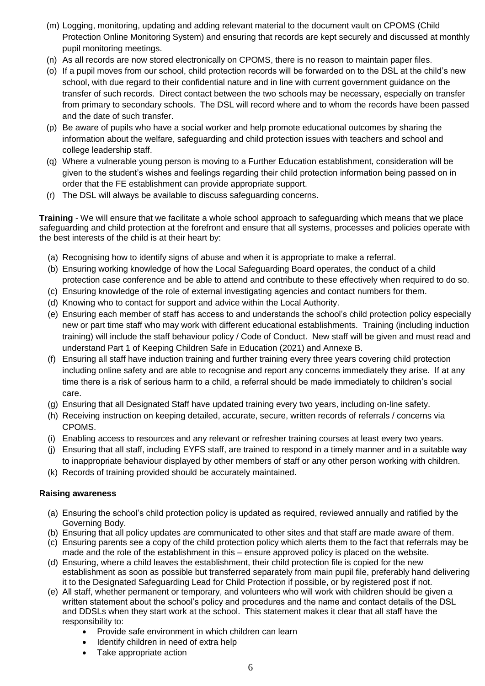- (m) Logging, monitoring, updating and adding relevant material to the document vault on CPOMS (Child Protection Online Monitoring System) and ensuring that records are kept securely and discussed at monthly pupil monitoring meetings.
- (n) As all records are now stored electronically on CPOMS, there is no reason to maintain paper files.
- (o) If a pupil moves from our school, child protection records will be forwarded on to the DSL at the child's new school, with due regard to their confidential nature and in line with current government guidance on the transfer of such records. Direct contact between the two schools may be necessary, especially on transfer from primary to secondary schools. The DSL will record where and to whom the records have been passed and the date of such transfer.
- (p) Be aware of pupils who have a social worker and help promote educational outcomes by sharing the information about the welfare, safeguarding and child protection issues with teachers and school and college leadership staff.
- (q) Where a vulnerable young person is moving to a Further Education establishment, consideration will be given to the student's wishes and feelings regarding their child protection information being passed on in order that the FE establishment can provide appropriate support.
- (r) The DSL will always be available to discuss safeguarding concerns.

**Training** - We will ensure that we facilitate a whole school approach to safeguarding which means that we place safeguarding and child protection at the forefront and ensure that all systems, processes and policies operate with the best interests of the child is at their heart by:

- (a) Recognising how to identify signs of abuse and when it is appropriate to make a referral.
- (b) Ensuring working knowledge of how the Local Safeguarding Board operates, the conduct of a child protection case conference and be able to attend and contribute to these effectively when required to do so.
- (c) Ensuring knowledge of the role of external investigating agencies and contact numbers for them.
- (d) Knowing who to contact for support and advice within the Local Authority.
- (e) Ensuring each member of staff has access to and understands the school's child protection policy especially new or part time staff who may work with different educational establishments. Training (including induction training) will include the staff behaviour policy / Code of Conduct. New staff will be given and must read and understand Part 1 of Keeping Children Safe in Education (2021) and Annexe B.
- (f) Ensuring all staff have induction training and further training every three years covering child protection including online safety and are able to recognise and report any concerns immediately they arise. If at any time there is a risk of serious harm to a child, a referral should be made immediately to children's social care.
- (g) Ensuring that all Designated Staff have updated training every two years, including on-line safety.
- (h) Receiving instruction on keeping detailed, accurate, secure, written records of referrals / concerns via CPOMS.
- (i) Enabling access to resources and any relevant or refresher training courses at least every two years.
- (j) Ensuring that all staff, including EYFS staff, are trained to respond in a timely manner and in a suitable way to inappropriate behaviour displayed by other members of staff or any other person working with children.
- (k) Records of training provided should be accurately maintained.

#### **Raising awareness**

- (a) Ensuring the school's child protection policy is updated as required, reviewed annually and ratified by the Governing Body.
- (b) Ensuring that all policy updates are communicated to other sites and that staff are made aware of them.
- (c) Ensuring parents see a copy of the child protection policy which alerts them to the fact that referrals may be made and the role of the establishment in this – ensure approved policy is placed on the website.
- (d) Ensuring, where a child leaves the establishment, their child protection file is copied for the new establishment as soon as possible but transferred separately from main pupil file, preferably hand delivering it to the Designated Safeguarding Lead for Child Protection if possible, or by registered post if not.
- (e) All staff, whether permanent or temporary, and volunteers who will work with children should be given a written statement about the school's policy and procedures and the name and contact details of the DSL and DDSLs when they start work at the school. This statement makes it clear that all staff have the responsibility to:
	- Provide safe environment in which children can learn
	- Identify children in need of extra help
	- Take appropriate action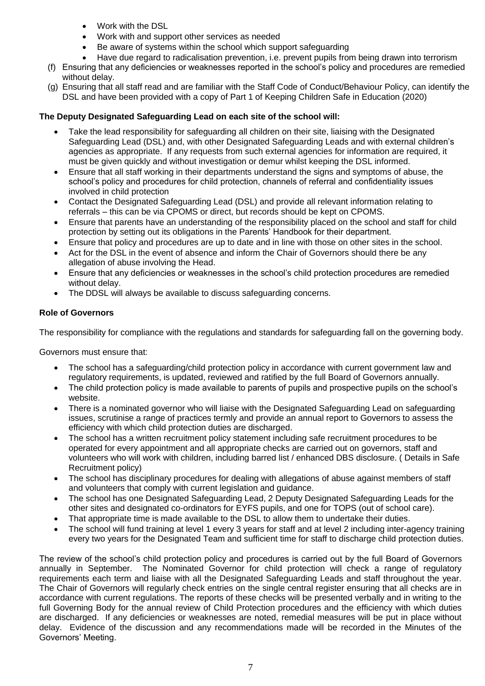- Work with the DSL
- Work with and support other services as needed
- Be aware of systems within the school which support safeguarding
- Have due regard to radicalisation prevention, i.e. prevent pupils from being drawn into terrorism
- (f) Ensuring that any deficiencies or weaknesses reported in the school's policy and procedures are remedied without delay.
- (g) Ensuring that all staff read and are familiar with the Staff Code of Conduct/Behaviour Policy, can identify the DSL and have been provided with a copy of Part 1 of Keeping Children Safe in Education (2020)

# **The Deputy Designated Safeguarding Lead on each site of the school will:**

- Take the lead responsibility for safeguarding all children on their site, liaising with the Designated Safeguarding Lead (DSL) and, with other Designated Safeguarding Leads and with external children's agencies as appropriate. If any requests from such external agencies for information are required, it must be given quickly and without investigation or demur whilst keeping the DSL informed.
- Ensure that all staff working in their departments understand the signs and symptoms of abuse, the school's policy and procedures for child protection, channels of referral and confidentiality issues involved in child protection
- Contact the Designated Safeguarding Lead (DSL) and provide all relevant information relating to referrals – this can be via CPOMS or direct, but records should be kept on CPOMS.
- Ensure that parents have an understanding of the responsibility placed on the school and staff for child protection by setting out its obligations in the Parents' Handbook for their department.
- Ensure that policy and procedures are up to date and in line with those on other sites in the school.
- Act for the DSL in the event of absence and inform the Chair of Governors should there be any allegation of abuse involving the Head.
- Ensure that any deficiencies or weaknesses in the school's child protection procedures are remedied without delay.
- The DDSL will always be available to discuss safeguarding concerns.

# **Role of Governors**

The responsibility for compliance with the regulations and standards for safeguarding fall on the governing body.

Governors must ensure that:

- The school has a safeguarding/child protection policy in accordance with current government law and regulatory requirements, is updated, reviewed and ratified by the full Board of Governors annually.
- The child protection policy is made available to parents of pupils and prospective pupils on the school's website.
- There is a nominated governor who will liaise with the Designated Safeguarding Lead on safeguarding issues, scrutinise a range of practices termly and provide an annual report to Governors to assess the efficiency with which child protection duties are discharged.
- The school has a written recruitment policy statement including safe recruitment procedures to be operated for every appointment and all appropriate checks are carried out on governors, staff and volunteers who will work with children, including barred list / enhanced DBS disclosure. ( Details in Safe Recruitment policy)
- The school has disciplinary procedures for dealing with allegations of abuse against members of staff and volunteers that comply with current legislation and guidance.
- The school has one Designated Safeguarding Lead, 2 Deputy Designated Safeguarding Leads for the other sites and designated co-ordinators for EYFS pupils, and one for TOPS (out of school care).
- That appropriate time is made available to the DSL to allow them to undertake their duties.
- The school will fund training at level 1 every 3 years for staff and at level 2 including inter-agency training every two years for the Designated Team and sufficient time for staff to discharge child protection duties.

The review of the school's child protection policy and procedures is carried out by the full Board of Governors annually in September. The Nominated Governor for child protection will check a range of regulatory requirements each term and liaise with all the Designated Safeguarding Leads and staff throughout the year. The Chair of Governors will regularly check entries on the single central register ensuring that all checks are in accordance with current regulations. The reports of these checks will be presented verbally and in writing to the full Governing Body for the annual review of Child Protection procedures and the efficiency with which duties are discharged. If any deficiencies or weaknesses are noted, remedial measures will be put in place without delay. Evidence of the discussion and any recommendations made will be recorded in the Minutes of the Governors' Meeting.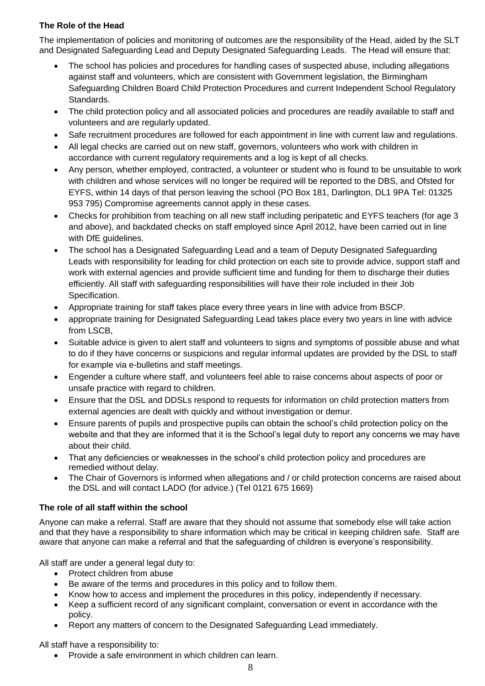# **The Role of the Head**

The implementation of policies and monitoring of outcomes are the responsibility of the Head, aided by the SLT and Designated Safeguarding Lead and Deputy Designated Safeguarding Leads. The Head will ensure that:

- The school has policies and procedures for handling cases of suspected abuse, including allegations against staff and volunteers, which are consistent with Government legislation, the Birmingham Safeguarding Children Board Child Protection Procedures and current Independent School Regulatory Standards.
- The child protection policy and all associated policies and procedures are readily available to staff and volunteers and are regularly updated.
- Safe recruitment procedures are followed for each appointment in line with current law and regulations.
- All legal checks are carried out on new staff, governors, volunteers who work with children in accordance with current regulatory requirements and a log is kept of all checks.
- Any person, whether employed, contracted, a volunteer or student who is found to be unsuitable to work with children and whose services will no longer be required will be reported to the DBS, and Ofsted for EYFS, within 14 days of that person leaving the school (PO Box 181, Darlington, DL1 9PA Tel: 01325 953 795) Compromise agreements cannot apply in these cases.
- Checks for prohibition from teaching on all new staff including peripatetic and EYFS teachers (for age 3 and above), and backdated checks on staff employed since April 2012, have been carried out in line with DfE guidelines.
- The school has a Designated Safeguarding Lead and a team of Deputy Designated Safeguarding Leads with responsibility for leading for child protection on each site to provide advice, support staff and work with external agencies and provide sufficient time and funding for them to discharge their duties efficiently. All staff with safeguarding responsibilities will have their role included in their Job Specification.
- Appropriate training for staff takes place every three years in line with advice from BSCP.
- appropriate training for Designated Safeguarding Lead takes place every two years in line with advice from LSCB,
- Suitable advice is given to alert staff and volunteers to signs and symptoms of possible abuse and what to do if they have concerns or suspicions and regular informal updates are provided by the DSL to staff for example via e-bulletins and staff meetings.
- Engender a culture where staff, and volunteers feel able to raise concerns about aspects of poor or unsafe practice with regard to children.
- Ensure that the DSL and DDSLs respond to requests for information on child protection matters from external agencies are dealt with quickly and without investigation or demur.
- Ensure parents of pupils and prospective pupils can obtain the school's child protection policy on the website and that they are informed that it is the School's legal duty to report any concerns we may have about their child.
- That any deficiencies or weaknesses in the school's child protection policy and procedures are remedied without delay.
- The Chair of Governors is informed when allegations and / or child protection concerns are raised about the DSL and will contact LADO (for advice.) (Tel 0121 675 1669)

# **The role of all staff within the school**

Anyone can make a referral. Staff are aware that they should not assume that somebody else will take action and that they have a responsibility to share information which may be critical in keeping children safe. Staff are aware that anyone can make a referral and that the safeguarding of children is everyone's responsibility.

All staff are under a general legal duty to:

- Protect children from abuse
- Be aware of the terms and procedures in this policy and to follow them.
- Know how to access and implement the procedures in this policy, independently if necessary.
- Keep a sufficient record of any significant complaint, conversation or event in accordance with the policy.
- Report any matters of concern to the Designated Safeguarding Lead immediately.

All staff have a responsibility to:

Provide a safe environment in which children can learn.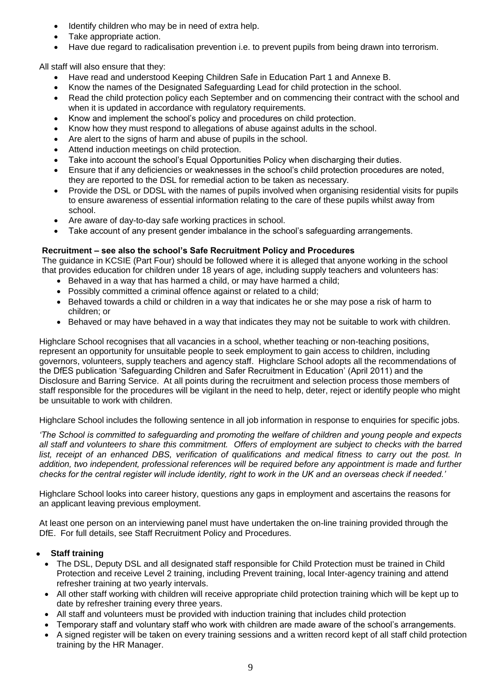- Identify children who may be in need of extra help.
- Take appropriate action.
- Have due regard to radicalisation prevention i.e. to prevent pupils from being drawn into terrorism.

All staff will also ensure that they:

- Have read and understood Keeping Children Safe in Education Part 1 and Annexe B.
- Know the names of the Designated Safeguarding Lead for child protection in the school.
- Read the child protection policy each September and on commencing their contract with the school and when it is updated in accordance with regulatory requirements.
- Know and implement the school's policy and procedures on child protection.
- Know how they must respond to allegations of abuse against adults in the school.
- Are alert to the signs of harm and abuse of pupils in the school.
- Attend induction meetings on child protection.
- Take into account the school's Equal Opportunities Policy when discharging their duties.
- Ensure that if any deficiencies or weaknesses in the school's child protection procedures are noted, they are reported to the DSL for remedial action to be taken as necessary.
- Provide the DSL or DDSL with the names of pupils involved when organising residential visits for pupils to ensure awareness of essential information relating to the care of these pupils whilst away from school.
- Are aware of day-to-day safe working practices in school.
- Take account of any present gender imbalance in the school's safeguarding arrangements.

#### **Recruitment – see also the school's Safe Recruitment Policy and Procedures**

The guidance in KCSIE (Part Four) should be followed where it is alleged that anyone working in the school that provides education for children under 18 years of age, including supply teachers and volunteers has:

- Behaved in a way that has harmed a child, or may have harmed a child;
- Possibly committed a criminal offence against or related to a child;
- Behaved towards a child or children in a way that indicates he or she may pose a risk of harm to children; or
- Behaved or may have behaved in a way that indicates they may not be suitable to work with children.

Highclare School recognises that all vacancies in a school, whether teaching or non-teaching positions, represent an opportunity for unsuitable people to seek employment to gain access to children, including governors, volunteers, supply teachers and agency staff. Highclare School adopts all the recommendations of the DfES publication 'Safeguarding Children and Safer Recruitment in Education' (April 2011) and the Disclosure and Barring Service. At all points during the recruitment and selection process those members of staff responsible for the procedures will be vigilant in the need to help, deter, reject or identify people who might be unsuitable to work with children.

Highclare School includes the following sentence in all job information in response to enquiries for specific jobs.

*'The School is committed to safeguarding and promoting the welfare of children and young people and expects all staff and volunteers to share this commitment. Offers of employment are subject to checks with the barred list, receipt of an enhanced DBS, verification of qualifications and medical fitness to carry out the post. In addition, two independent, professional references will be required before any appointment is made and further checks for the central register will include identity, right to work in the UK and an overseas check if needed.'*

Highclare School looks into career history, questions any gaps in employment and ascertains the reasons for an applicant leaving previous employment.

At least one person on an interviewing panel must have undertaken the on-line training provided through the DfE. For full details, see Staff Recruitment Policy and Procedures.

#### **Staff training**

- The DSL, Deputy DSL and all designated staff responsible for Child Protection must be trained in Child Protection and receive Level 2 training, including Prevent training, local Inter-agency training and attend refresher training at two yearly intervals.
- All other staff working with children will receive appropriate child protection training which will be kept up to date by refresher training every three years.
- All staff and volunteers must be provided with induction training that includes child protection
- Temporary staff and voluntary staff who work with children are made aware of the school's arrangements.
- A signed register will be taken on every training sessions and a written record kept of all staff child protection training by the HR Manager.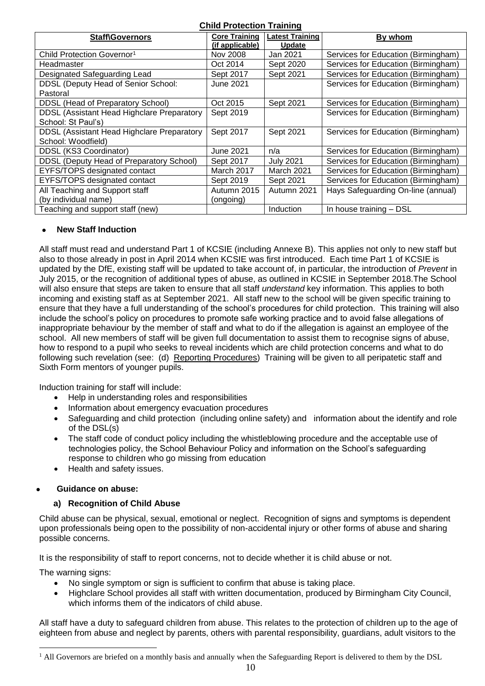| <b>Child Protection Training</b>           |                      |                        |                                     |  |  |  |
|--------------------------------------------|----------------------|------------------------|-------------------------------------|--|--|--|
| <b>Staff\Governors</b>                     | <b>Core Training</b> | <b>Latest Training</b> | By whom                             |  |  |  |
|                                            | (if applicable)      | <b>Update</b>          |                                     |  |  |  |
| Child Protection Governor <sup>1</sup>     | Nov 2008             | Jan 2021               | Services for Education (Birmingham) |  |  |  |
| Headmaster                                 | Oct 2014             | Sept 2020              | Services for Education (Birmingham) |  |  |  |
| Designated Safeguarding Lead               | Sept 2017            | Sept 2021              | Services for Education (Birmingham) |  |  |  |
| DDSL (Deputy Head of Senior School:        | <b>June 2021</b>     |                        | Services for Education (Birmingham) |  |  |  |
| Pastoral                                   |                      |                        |                                     |  |  |  |
| DDSL (Head of Preparatory School)          | Oct 2015             | Sept 2021              | Services for Education (Birmingham) |  |  |  |
| DDSL (Assistant Head Highclare Preparatory | Sept 2019            |                        | Services for Education (Birmingham) |  |  |  |
| School: St Paul's)                         |                      |                        |                                     |  |  |  |
| DDSL (Assistant Head Highclare Preparatory | Sept 2017            | Sept 2021              | Services for Education (Birmingham) |  |  |  |
| School: Woodfield)                         |                      |                        |                                     |  |  |  |
| DDSL (KS3 Coordinator)                     | <b>June 2021</b>     | n/a                    | Services for Education (Birmingham) |  |  |  |
| DDSL (Deputy Head of Preparatory School)   | Sept 2017            | <b>July 2021</b>       | Services for Education (Birmingham) |  |  |  |
| EYFS/TOPS designated contact               | March 2017           | <b>March 2021</b>      | Services for Education (Birmingham) |  |  |  |
| EYFS/TOPS designated contact               | Sept 2019            | Sept 2021              | Services for Education (Birmingham) |  |  |  |
| All Teaching and Support staff             | Autumn 2015          | Autumn 2021            | Hays Safeguarding On-line (annual)  |  |  |  |
| (by individual name)                       | (ongoing)            |                        |                                     |  |  |  |
| Teaching and support staff (new)           |                      | <b>Induction</b>       | In house training - DSL             |  |  |  |

# **New Staff Induction**

All staff must read and understand Part 1 of KCSIE (including Annexe B). This applies not only to new staff but also to those already in post in April 2014 when KCSIE was first introduced. Each time Part 1 of KCSIE is updated by the DfE, existing staff will be updated to take account of, in particular, the introduction of *Prevent* in July 2015, or the recognition of additional types of abuse, as outlined in KCSIE in September 2018.The School will also ensure that steps are taken to ensure that all staff *understand* key information. This applies to both incoming and existing staff as at September 2021. All staff new to the school will be given specific training to ensure that they have a full understanding of the school's procedures for child protection. This training will also include the school's policy on procedures to promote safe working practice and to avoid false allegations of inappropriate behaviour by the member of staff and what to do if the allegation is against an employee of the school. All new members of staff will be given full documentation to assist them to recognise signs of abuse, how to respond to a pupil who seeks to reveal incidents which are child protection concerns and what to do following such revelation (see: (d) Reporting Procedures) Training will be given to all peripatetic staff and Sixth Form mentors of younger pupils.

Induction training for staff will include:

- Help in understanding roles and responsibilities
- Information about emergency evacuation procedures
- Safeguarding and child protection (including online safety) and information about the identify and role of the DSL(s)
- The staff code of conduct policy including the whistleblowing procedure and the acceptable use of technologies policy, the School Behaviour Policy and information on the School's safeguarding response to children who go missing from education
- Health and safety issues.

#### **Guidance on abuse:**

#### **a) Recognition of Child Abuse**

Child abuse can be physical, sexual, emotional or neglect. Recognition of signs and symptoms is dependent upon professionals being open to the possibility of non-accidental injury or other forms of abuse and sharing possible concerns.

It is the responsibility of staff to report concerns, not to decide whether it is child abuse or not.

The warning signs:

- No single symptom or sign is sufficient to confirm that abuse is taking place.
- Highclare School provides all staff with written documentation, produced by Birmingham City Council, which informs them of the indicators of child abuse.

All staff have a duty to safeguard children from abuse. This relates to the protection of children up to the age of eighteen from abuse and neglect by parents, others with parental responsibility, guardians, adult visitors to the

 $\overline{a}$  $<sup>1</sup>$  All Governors are briefed on a monthly basis and annually when the Safeguarding Report is delivered to them by the DSL</sup>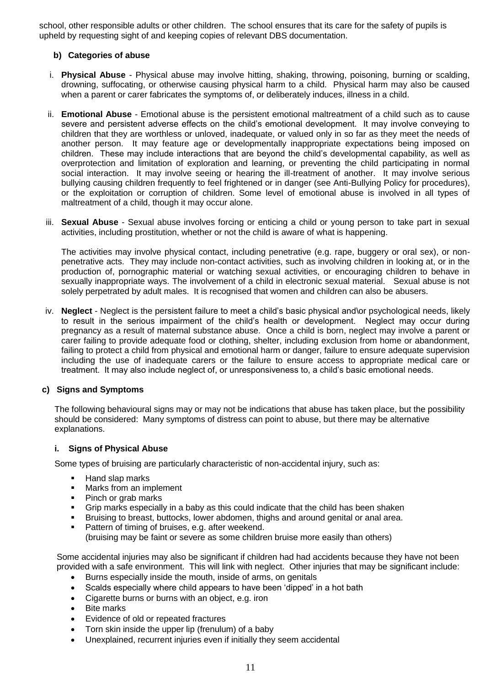school, other responsible adults or other children. The school ensures that its care for the safety of pupils is upheld by requesting sight of and keeping copies of relevant DBS documentation.

#### **b) Categories of abuse**

- i. **Physical Abuse** Physical abuse may involve hitting, shaking, throwing, poisoning, burning or scalding, drowning, suffocating, or otherwise causing physical harm to a child. Physical harm may also be caused when a parent or carer fabricates the symptoms of, or deliberately induces, illness in a child.
- ii. **Emotional Abuse** Emotional abuse is the persistent emotional maltreatment of a child such as to cause severe and persistent adverse effects on the child's emotional development. It may involve conveying to children that they are worthless or unloved, inadequate, or valued only in so far as they meet the needs of another person. It may feature age or developmentally inappropriate expectations being imposed on children. These may include interactions that are beyond the child's developmental capability, as well as overprotection and limitation of exploration and learning, or preventing the child participating in normal social interaction. It may involve seeing or hearing the ill-treatment of another. It may involve serious bullying causing children frequently to feel frightened or in danger (see Anti-Bullying Policy for procedures), or the exploitation or corruption of children. Some level of emotional abuse is involved in all types of maltreatment of a child, though it may occur alone.
- iii. **Sexual Abuse** Sexual abuse involves forcing or enticing a child or young person to take part in sexual activities, including prostitution, whether or not the child is aware of what is happening.

The activities may involve physical contact, including penetrative (e.g. rape, buggery or oral sex), or nonpenetrative acts. They may include non-contact activities, such as involving children in looking at, or in the production of, pornographic material or watching sexual activities, or encouraging children to behave in sexually inappropriate ways. The involvement of a child in electronic sexual material. Sexual abuse is not solely perpetrated by adult males. It is recognised that women and children can also be abusers.

iv. **Neglect** - Neglect is the persistent failure to meet a child's basic physical and\or psychological needs, likely to result in the serious impairment of the child's health or development. Neglect may occur during pregnancy as a result of maternal substance abuse. Once a child is born, neglect may involve a parent or carer failing to provide adequate food or clothing, shelter, including exclusion from home or abandonment, failing to protect a child from physical and emotional harm or danger, failure to ensure adequate supervision including the use of inadequate carers or the failure to ensure access to appropriate medical care or treatment. It may also include neglect of, or unresponsiveness to, a child's basic emotional needs.

#### **c) Signs and Symptoms**

The following behavioural signs may or may not be indications that abuse has taken place, but the possibility should be considered: Many symptoms of distress can point to abuse, but there may be alternative explanations.

#### **i. Signs of Physical Abuse**

Some types of bruising are particularly characteristic of non-accidental injury, such as:

- Hand slap marks
- **Marks from an implement**
- Pinch or grab marks
- Grip marks especially in a baby as this could indicate that the child has been shaken
- Bruising to breast, buttocks, lower abdomen, thighs and around genital or anal area.
- **Pattern of timing of bruises, e.g. after weekend.** (bruising may be faint or severe as some children bruise more easily than others)

Some accidental injuries may also be significant if children had had accidents because they have not been provided with a safe environment. This will link with neglect. Other injuries that may be significant include:

- Burns especially inside the mouth, inside of arms, on genitals
- Scalds especially where child appears to have been 'dipped' in a hot bath
- Cigarette burns or burns with an object, e.g. iron
- Bite marks
- Evidence of old or repeated fractures
- Torn skin inside the upper lip (frenulum) of a baby
- Unexplained, recurrent injuries even if initially they seem accidental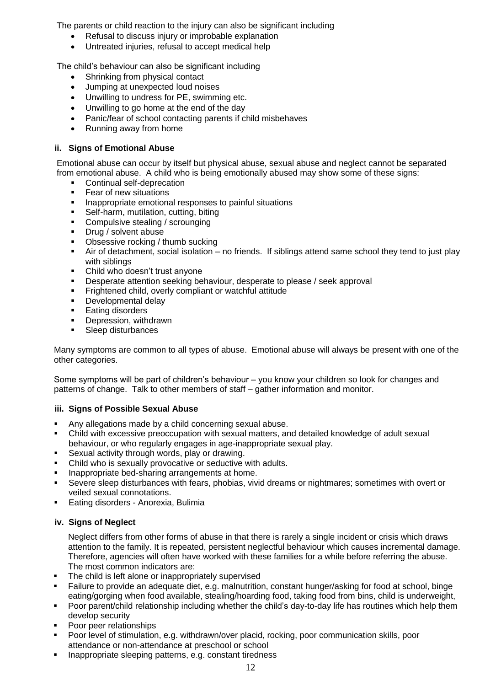The parents or child reaction to the injury can also be significant including

- Refusal to discuss injury or improbable explanation
- Untreated injuries, refusal to accept medical help

The child's behaviour can also be significant including

- Shrinking from physical contact
- Jumping at unexpected loud noises
- Unwilling to undress for PE, swimming etc.
- Unwilling to go home at the end of the day
- Panic/fear of school contacting parents if child misbehaves
- Running away from home

# **ii. Signs of Emotional Abuse**

Emotional abuse can occur by itself but physical abuse, sexual abuse and neglect cannot be separated from emotional abuse. A child who is being emotionally abused may show some of these signs:

- **•** Continual self-deprecation
- Fear of new situations<br>Representate amotions
- Inappropriate emotional responses to painful situations
- Self-harm, mutilation, cutting, biting
- **Compulsive stealing / scrounging**
- Drug / solvent abuse
- Obsessive rocking / thumb sucking
- Air of detachment, social isolation no friends. If siblings attend same school they tend to just play with siblings
- Child who doesn't trust anyone
- **Desperate attention seeking behaviour, desperate to please / seek approval**
- **Fightened child, overly compliant or watchful attitude**
- **Developmental delay**
- **Eating disorders**
- **•** Depression, withdrawn
- **Sleep disturbances**

Many symptoms are common to all types of abuse. Emotional abuse will always be present with one of the other categories.

Some symptoms will be part of children's behaviour – you know your children so look for changes and patterns of change. Talk to other members of staff – gather information and monitor.

#### **iii. Signs of Possible Sexual Abuse**

- Any allegations made by a child concerning sexual abuse.
- Child with excessive preoccupation with sexual matters, and detailed knowledge of adult sexual behaviour, or who regularly engages in age-inappropriate sexual play.
- Sexual activity through words, play or drawing.
- Child who is sexually provocative or seductive with adults.
- **Inappropriate bed-sharing arrangements at home.**
- Severe sleep disturbances with fears, phobias, vivid dreams or nightmares; sometimes with overt or veiled sexual connotations.
- Eating disorders Anorexia, Bulimia

#### **iv. Signs of Neglect**

Neglect differs from other forms of abuse in that there is rarely a single incident or crisis which draws attention to the family. It is repeated, persistent neglectful behaviour which causes incremental damage. Therefore, agencies will often have worked with these families for a while before referring the abuse. The most common indicators are:

- The child is left alone or inappropriately supervised
- Failure to provide an adequate diet, e.g. malnutrition, constant hunger/asking for food at school, binge eating/gorging when food available, stealing/hoarding food, taking food from bins, child is underweight,
- Poor parent/child relationship including whether the child's day-to-day life has routines which help them develop security
- Poor peer relationships
- Poor level of stimulation, e.g. withdrawn/over placid, rocking, poor communication skills, poor attendance or non-attendance at preschool or school
- Inappropriate sleeping patterns, e.g. constant tiredness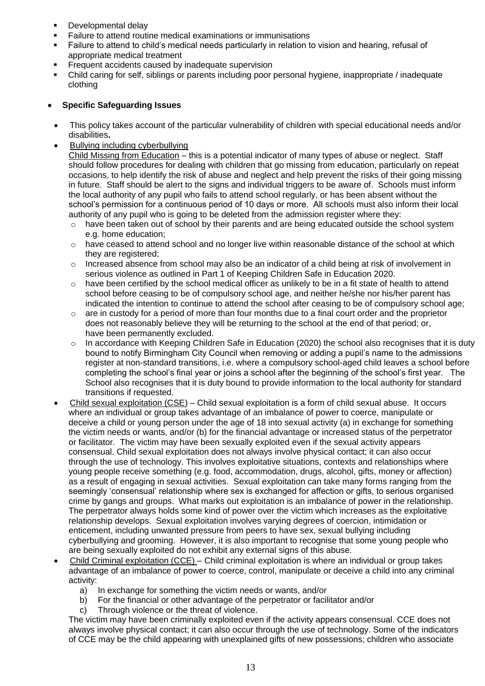- **Developmental delay**
- Failure to attend routine medical examinations or immunisations
- Failure to attend to child's medical needs particularly in relation to vision and hearing, refusal of appropriate medical treatment
- Frequent accidents caused by inadequate supervision
- Child caring for self, siblings or parents including poor personal hygiene, inappropriate / inadequate clothing

# **Specific Safeguarding Issues**

- This policy takes account of the particular vulnerability of children with special educational needs and/or disabilities**.**
- Bullying including cyberbullying

Child Missing from Education – this is a potential indicator of many types of abuse or neglect. Staff should follow procedures for dealing with children that go missing from education, particularly on repeat occasions, to help identify the risk of abuse and neglect and help prevent the risks of their going missing in future. Staff should be alert to the signs and individual triggers to be aware of. Schools must inform the local authority of any pupil who fails to attend school regularly, or has been absent without the school's permission for a continuous period of 10 days or more. All schools must also inform their local authority of any pupil who is going to be deleted from the admission register where they:

- $\circ$  have been taken out of school by their parents and are being educated outside the school system e.g. home education;
- o have ceased to attend school and no longer live within reasonable distance of the school at which they are registered;
- o Increased absence from school may also be an indicator of a child being at risk of involvement in serious violence as outlined in Part 1 of Keeping Children Safe in Education 2020.
- $\circ$  have been certified by the school medical officer as unlikely to be in a fit state of health to attend school before ceasing to be of compulsory school age, and neither he/she nor his/her parent has indicated the intention to continue to attend the school after ceasing to be of compulsory school age;
- $\circ$  are in custody for a period of more than four months due to a final court order and the proprietor does not reasonably believe they will be returning to the school at the end of that period; or, have been permanently excluded.
- $\circ$  In accordance with Keeping Children Safe in Education (2020) the school also recognises that it is duty bound to notify Birmingham City Council when removing or adding a pupil's name to the admissions register at non-standard transitions, i.e. where a compulsory school-aged child leaves a school before completing the school's final year or joins a school after the beginning of the school's first year. The School also recognises that it is duty bound to provide information to the local authority for standard transitions if requested.
- Child sexual exploitation (CSE) Child sexual exploitation is a form of child sexual abuse. It occurs where an individual or group takes advantage of an imbalance of power to coerce, manipulate or deceive a child or young person under the age of 18 into sexual activity (a) in exchange for something the victim needs or wants, and/or (b) for the financial advantage or increased status of the perpetrator or facilitator. The victim may have been sexually exploited even if the sexual activity appears consensual. Child sexual exploitation does not always involve physical contact; it can also occur through the use of technology. This involves exploitative situations, contexts and relationships where young people receive something (e.g. food, accommodation, drugs, alcohol, gifts, money or affection) as a result of engaging in sexual activities. Sexual exploitation can take many forms ranging from the seemingly 'consensual' relationship where sex is exchanged for affection or gifts, to serious organised crime by gangs and groups. What marks out exploitation is an imbalance of power in the relationship. The perpetrator always holds some kind of power over the victim which increases as the exploitative relationship develops. Sexual exploitation involves varying degrees of coercion, intimidation or enticement, including unwanted pressure from peers to have sex, sexual bullying including cyberbullying and grooming. However, it is also important to recognise that some young people who are being sexually exploited do not exhibit any external signs of this abuse.
- Child Criminal exploitation (CCE) Child criminal exploitation is where an individual or group takes advantage of an imbalance of power to coerce, control, manipulate or deceive a child into any criminal activity:
	- a) In exchange for something the victim needs or wants, and/or
	- b) For the financial or other advantage of the perpetrator or facilitator and/or
	- c) Through violence or the threat of violence.

The victim may have been criminally exploited even if the activity appears consensual. CCE does not always involve physical contact; it can also occur through the use of technology. Some of the indicators of CCE may be the child appearing with unexplained gifts of new possessions; children who associate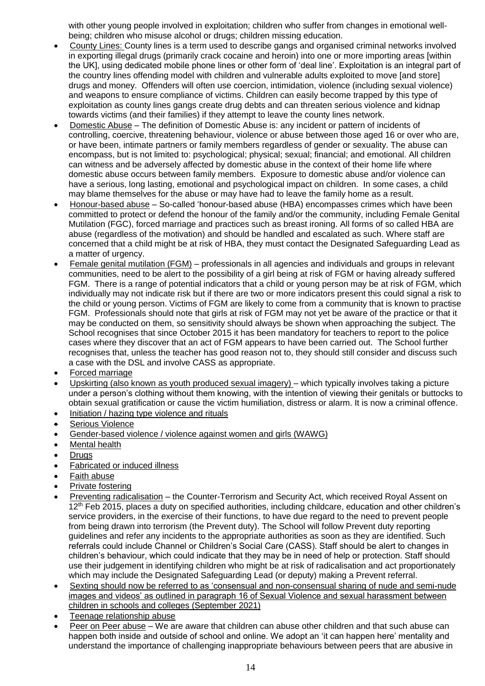with other young people involved in exploitation; children who suffer from changes in emotional wellbeing; children who misuse alcohol or drugs; children missing education.

- County Lines: County lines is a term used to describe gangs and organised criminal networks involved in exporting illegal drugs (primarily crack cocaine and heroin) into one or more importing areas [within the UK], using dedicated mobile phone lines or other form of 'deal line'. Exploitation is an integral part of the country lines offending model with children and vulnerable adults exploited to move [and store] drugs and money. Offenders will often use coercion, intimidation, violence (including sexual violence) and weapons to ensure compliance of victims. Children can easily become trapped by this type of exploitation as county lines gangs create drug debts and can threaten serious violence and kidnap towards victims (and their families) if they attempt to leave the county lines network.
- Domestic Abuse The definition of Domestic Abuse is: any incident or pattern of incidents of controlling, coercive, threatening behaviour, violence or abuse between those aged 16 or over who are, or have been, intimate partners or family members regardless of gender or sexuality. The abuse can encompass, but is not limited to: psychological; physical; sexual; financial; and emotional. All children can witness and be adversely affected by domestic abuse in the context of their home life where domestic abuse occurs between family members. Exposure to domestic abuse and/or violence can have a serious, long lasting, emotional and psychological impact on children. In some cases, a child may blame themselves for the abuse or may have had to leave the family home as a result.
- Honour-based abuse So-called 'honour-based abuse (HBA) encompasses crimes which have been committed to protect or defend the honour of the family and/or the community, including Female Genital Mutilation (FGC), forced marriage and practices such as breast ironing. All forms of so called HBA are abuse (regardless of the motivation) and should be handled and escalated as such. Where staff are concerned that a child might be at risk of HBA, they must contact the Designated Safeguarding Lead as a matter of urgency.
- Female genital mutilation (FGM) professionals in all agencies and individuals and groups in relevant communities, need to be alert to the possibility of a girl being at risk of FGM or having already suffered FGM. There is a range of potential indicators that a child or young person may be at risk of FGM, which individually may not indicate risk but if there are two or more indicators present this could signal a risk to the child or young person. Victims of FGM are likely to come from a community that is known to practise FGM. Professionals should note that girls at risk of FGM may not yet be aware of the practice or that it may be conducted on them, so sensitivity should always be shown when approaching the subject. The School recognises that since October 2015 it has been mandatory for teachers to report to the police cases where they discover that an act of FGM appears to have been carried out. The School further recognises that, unless the teacher has good reason not to, they should still consider and discuss such a case with the DSL and involve CASS as appropriate.
- Forced marriage
- Upskirting (also known as youth produced sexual imagery) which typically involves taking a picture under a person's clothing without them knowing, with the intention of viewing their genitals or buttocks to obtain sexual gratification or cause the victim humiliation, distress or alarm. It is now a criminal offence.
- Initiation / hazing type violence and rituals
- Serious Violence
- Gender-based violence / violence against women and girls (WAWG)
- Mental health
- Drugs
- Fabricated or induced illness
- Faith abuse
- Private fostering
- Preventing radicalisation the Counter-Terrorism and Security Act, which received Royal Assent on 12<sup>th</sup> Feb 2015, places a duty on specified authorities, including childcare, education and other children's service providers, in the exercise of their functions, to have due regard to the need to prevent people from being drawn into terrorism (the Prevent duty). The School will follow Prevent duty reporting guidelines and refer any incidents to the appropriate authorities as soon as they are identified. Such referrals could include Channel or Children's Social Care (CASS). Staff should be alert to changes in children's behaviour, which could indicate that they may be in need of help or protection. Staff should use their judgement in identifying children who might be at risk of radicalisation and act proportionately which may include the Designated Safeguarding Lead (or deputy) making a Prevent referral.
- Sexting should now be referred to as 'consensual and non-consensual sharing of nude and semi-nude images and videos' as outlined in paragraph 16 of Sexual Violence and sexual harassment between children in schools and colleges (September 2021)
- Teenage relationship abuse
- Peer on Peer abuse We are aware that children can abuse other children and that such abuse can happen both inside and outside of school and online. We adopt an 'it can happen here' mentality and understand the importance of challenging inappropriate behaviours between peers that are abusive in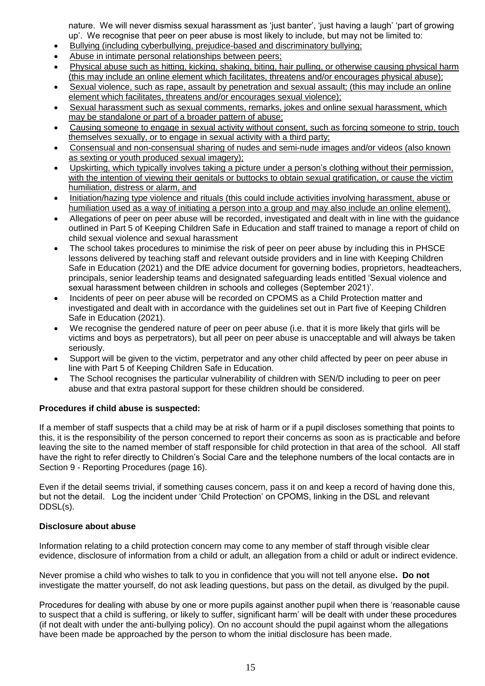nature. We will never dismiss sexual harassment as 'just banter', 'just having a laugh' 'part of growing up'. We recognise that peer on peer abuse is most likely to include, but may not be limited to:

- Bullying (including cyberbullying, prejudice-based and discriminatory bullying;
- Abuse in intimate personal relationships between peers;
- Physical abuse such as hitting, kicking, shaking, biting, hair pulling, or otherwise causing physical harm (this may include an online element which facilitates, threatens and/or encourages physical abuse);
- Sexual violence, such as rape, assault by penetration and sexual assault; (this may include an online element which facilitates, threatens and/or encourages sexual violence);
- Sexual harassment such as sexual comments, remarks, jokes and online sexual harassment, which may be standalone or part of a broader pattern of abuse;
- Causing someone to engage in sexual activity without consent, such as forcing someone to strip, touch themselves sexually, or to engage in sexual activity with a third party;
- Consensual and non-consensual sharing of nudes and semi-nude images and/or videos (also known as sexting or youth produced sexual imagery);
- Upskirting, which typically involves taking a picture under a person's clothing without their permission, with the intention of viewing their genitals or buttocks to obtain sexual gratification, or cause the victim humiliation, distress or alarm, and
- Initiation/hazing type violence and rituals (this could include activities involving harassment, abuse or humiliation used as a way of initiating a person into a group and may also include an online element).
- Allegations of peer on peer abuse will be recorded, investigated and dealt with in line with the guidance outlined in Part 5 of Keeping Children Safe in Education and staff trained to manage a report of child on child sexual violence and sexual harassment
- The school takes procedures to minimise the risk of peer on peer abuse by including this in PHSCE lessons delivered by teaching staff and relevant outside providers and in line with Keeping Children Safe in Education (2021) and the DfE advice document for governing bodies, proprietors, headteachers, principals, senior leadership teams and designated safeguarding leads entitled 'Sexual violence and sexual harassment between children in schools and colleges (September 2021)'.
- Incidents of peer on peer abuse will be recorded on CPOMS as a Child Protection matter and investigated and dealt with in accordance with the guidelines set out in Part five of Keeping Children Safe in Education (2021).
- We recognise the gendered nature of peer on peer abuse (i.e. that it is more likely that girls will be victims and boys as perpetrators), but all peer on peer abuse is unacceptable and will always be taken seriously.
- Support will be given to the victim, perpetrator and any other child affected by peer on peer abuse in line with Part 5 of Keeping Children Safe in Education.
- The School recognises the particular vulnerability of children with SEN/D including to peer on peer abuse and that extra pastoral support for these children should be considered.

#### **Procedures if child abuse is suspected:**

If a member of staff suspects that a child may be at risk of harm or if a pupil discloses something that points to this, it is the responsibility of the person concerned to report their concerns as soon as is practicable and before leaving the site to the named member of staff responsible for child protection in that area of the school. All staff have the right to refer directly to Children's Social Care and the telephone numbers of the local contacts are in Section 9 - Reporting Procedures (page 16).

Even if the detail seems trivial, if something causes concern, pass it on and keep a record of having done this, but not the detail. Log the incident under 'Child Protection' on CPOMS, linking in the DSL and relevant DDSL(s).

#### **Disclosure about abuse**

Information relating to a child protection concern may come to any member of staff through visible clear evidence, disclosure of information from a child or adult, an allegation from a child or adult or indirect evidence.

Never promise a child who wishes to talk to you in confidence that you will not tell anyone else**. Do not** investigate the matter yourself, do not ask leading questions, but pass on the detail, as divulged by the pupil.

Procedures for dealing with abuse by one or more pupils against another pupil when there is 'reasonable cause to suspect that a child is suffering, or likely to suffer, significant harm' will be dealt with under these procedures (if not dealt with under the anti-bullying policy). On no account should the pupil against whom the allegations have been made be approached by the person to whom the initial disclosure has been made.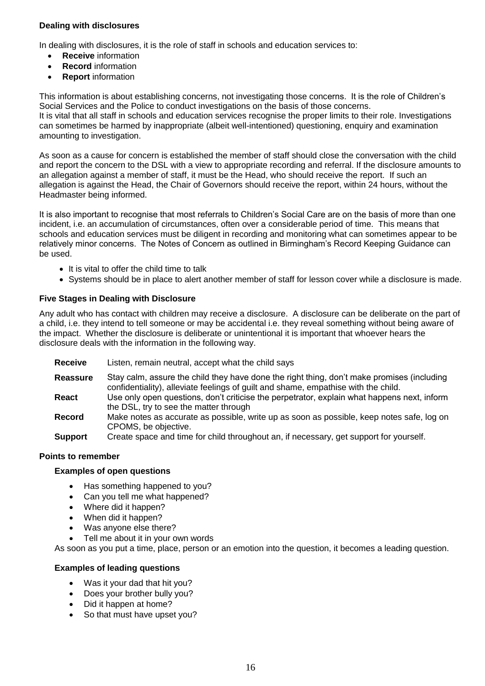#### **Dealing with disclosures**

In dealing with disclosures, it is the role of staff in schools and education services to:

- **Receive** information
- **Record** information
- **Report** information

This information is about establishing concerns, not investigating those concerns. It is the role of Children's Social Services and the Police to conduct investigations on the basis of those concerns.

It is vital that all staff in schools and education services recognise the proper limits to their role. Investigations can sometimes be harmed by inappropriate (albeit well-intentioned) questioning, enquiry and examination amounting to investigation.

As soon as a cause for concern is established the member of staff should close the conversation with the child and report the concern to the DSL with a view to appropriate recording and referral. If the disclosure amounts to an allegation against a member of staff, it must be the Head, who should receive the report. If such an allegation is against the Head, the Chair of Governors should receive the report, within 24 hours, without the Headmaster being informed.

It is also important to recognise that most referrals to Children's Social Care are on the basis of more than one incident, i.e. an accumulation of circumstances, often over a considerable period of time. This means that schools and education services must be diligent in recording and monitoring what can sometimes appear to be relatively minor concerns. The Notes of Concern as outlined in Birmingham's Record Keeping Guidance can be used.

- It is vital to offer the child time to talk
- Systems should be in place to alert another member of staff for lesson cover while a disclosure is made.

#### **Five Stages in Dealing with Disclosure**

Any adult who has contact with children may receive a disclosure. A disclosure can be deliberate on the part of a child, i.e. they intend to tell someone or may be accidental i.e. they reveal something without being aware of the impact. Whether the disclosure is deliberate or unintentional it is important that whoever hears the disclosure deals with the information in the following way.

- **Receive** Listen, remain neutral, accept what the child says
- **Reassure** Stay calm, assure the child they have done the right thing, don't make promises (including confidentiality), alleviate feelings of guilt and shame, empathise with the child.
- **React** Use only open questions, don't criticise the perpetrator, explain what happens next, inform the DSL, try to see the matter through
- **Record** Make notes as accurate as possible, write up as soon as possible, keep notes safe, log on CPOMS, be objective.
- **Support** Create space and time for child throughout an, if necessary, get support for yourself.

#### **Points to remember**

#### **Examples of open questions**

- Has something happened to you?
- Can you tell me what happened?
- Where did it happen?
- When did it happen?
- Was anyone else there?
- Tell me about it in your own words

As soon as you put a time, place, person or an emotion into the question, it becomes a leading question.

#### **Examples of leading questions**

- Was it your dad that hit you?
- Does your brother bully you?
- Did it happen at home?
- So that must have upset you?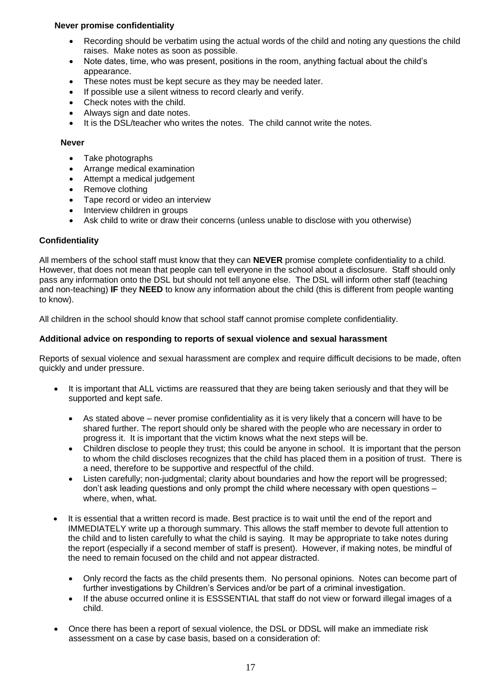#### **Never promise confidentiality**

- Recording should be verbatim using the actual words of the child and noting any questions the child raises. Make notes as soon as possible.
- Note dates, time, who was present, positions in the room, anything factual about the child's appearance.
- These notes must be kept secure as they may be needed later.
- If possible use a silent witness to record clearly and verify.
- Check notes with the child.
- Always sign and date notes.
- It is the DSL/teacher who writes the notes. The child cannot write the notes.

#### **Never**

- Take photographs
- Arrange medical examination
- Attempt a medical judgement
- Remove clothing
- Tape record or video an interview
- Interview children in groups
- Ask child to write or draw their concerns (unless unable to disclose with you otherwise)

#### **Confidentiality**

All members of the school staff must know that they can **NEVER** promise complete confidentiality to a child. However, that does not mean that people can tell everyone in the school about a disclosure. Staff should only pass any information onto the DSL but should not tell anyone else. The DSL will inform other staff (teaching and non-teaching) **IF** they **NEED** to know any information about the child (this is different from people wanting to know).

All children in the school should know that school staff cannot promise complete confidentiality.

#### **Additional advice on responding to reports of sexual violence and sexual harassment**

Reports of sexual violence and sexual harassment are complex and require difficult decisions to be made, often quickly and under pressure.

- It is important that ALL victims are reassured that they are being taken seriously and that they will be supported and kept safe.
	- As stated above never promise confidentiality as it is very likely that a concern will have to be shared further. The report should only be shared with the people who are necessary in order to progress it. It is important that the victim knows what the next steps will be.
	- Children disclose to people they trust; this could be anyone in school. It is important that the person to whom the child discloses recognizes that the child has placed them in a position of trust. There is a need, therefore to be supportive and respectful of the child.
	- Listen carefully; non-judgmental; clarity about boundaries and how the report will be progressed; don't ask leading questions and only prompt the child where necessary with open questions – where, when, what.
- It is essential that a written record is made. Best practice is to wait until the end of the report and IMMEDIATELY write up a thorough summary. This allows the staff member to devote full attention to the child and to listen carefully to what the child is saying. It may be appropriate to take notes during the report (especially if a second member of staff is present). However, if making notes, be mindful of the need to remain focused on the child and not appear distracted.
	- Only record the facts as the child presents them. No personal opinions. Notes can become part of further investigations by Children's Services and/or be part of a criminal investigation.
	- If the abuse occurred online it is ESSSENTIAL that staff do not view or forward illegal images of a child.
- Once there has been a report of sexual violence, the DSL or DDSL will make an immediate risk assessment on a case by case basis, based on a consideration of: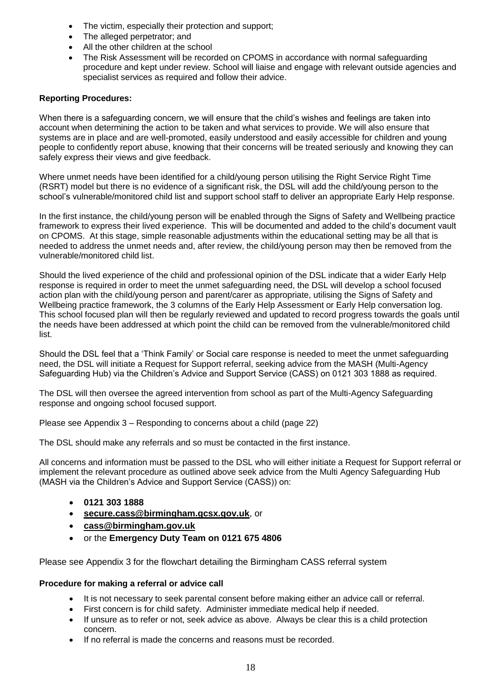- The victim, especially their protection and support;
- The alleged perpetrator; and
- All the other children at the school
- The Risk Assessment will be recorded on CPOMS in accordance with normal safeguarding procedure and kept under review. School will liaise and engage with relevant outside agencies and specialist services as required and follow their advice.

# **Reporting Procedures:**

When there is a safeguarding concern, we will ensure that the child's wishes and feelings are taken into account when determining the action to be taken and what services to provide. We will also ensure that systems are in place and are well-promoted, easily understood and easily accessible for children and young people to confidently report abuse, knowing that their concerns will be treated seriously and knowing they can safely express their views and give feedback.

Where unmet needs have been identified for a child/young person utilising the Right Service Right Time (RSRT) model but there is no evidence of a significant risk, the DSL will add the child/young person to the school's vulnerable/monitored child list and support school staff to deliver an appropriate Early Help response.

In the first instance, the child/young person will be enabled through the Signs of Safety and Wellbeing practice framework to express their lived experience. This will be documented and added to the child's document vault on CPOMS. At this stage, simple reasonable adjustments within the educational setting may be all that is needed to address the unmet needs and, after review, the child/young person may then be removed from the vulnerable/monitored child list.

Should the lived experience of the child and professional opinion of the DSL indicate that a wider Early Help response is required in order to meet the unmet safeguarding need, the DSL will develop a school focused action plan with the child/young person and parent/carer as appropriate, utilising the Signs of Safety and Wellbeing practice framework, the 3 columns of the Early Help Assessment or Early Help conversation log. This school focused plan will then be regularly reviewed and updated to record progress towards the goals until the needs have been addressed at which point the child can be removed from the vulnerable/monitored child list.

Should the DSL feel that a 'Think Family' or Social care response is needed to meet the unmet safeguarding need, the DSL will initiate a Request for Support referral, seeking advice from the MASH (Multi-Agency Safeguarding Hub) via the Children's Advice and Support Service (CASS) on 0121 303 1888 as required.

The DSL will then oversee the agreed intervention from school as part of the Multi-Agency Safeguarding response and ongoing school focused support.

Please see Appendix 3 – Responding to concerns about a child (page 22)

The DSL should make any referrals and so must be contacted in the first instance.

All concerns and information must be passed to the DSL who will either initiate a Request for Support referral or implement the relevant procedure as outlined above seek advice from the Multi Agency Safeguarding Hub (MASH via the Children's Advice and Support Service (CASS)) on:

- **0121 303 1888**
- **[secure.cass@birmingham.gcsx.gov.uk](mailto:secure.cass@birmingham.gcsx.gov.uk)**, or
- **[cass@birmingham.gov.uk](mailto:cass@birmingham.gov.uk)**
- or the **Emergency Duty Team on 0121 675 4806**

Please see Appendix 3 for the flowchart detailing the Birmingham CASS referral system

#### **Procedure for making a referral or advice call**

- It is not necessary to seek parental consent before making either an advice call or referral.
- First concern is for child safety. Administer immediate medical help if needed.
- If unsure as to refer or not, seek advice as above. Always be clear this is a child protection concern.
- If no referral is made the concerns and reasons must be recorded.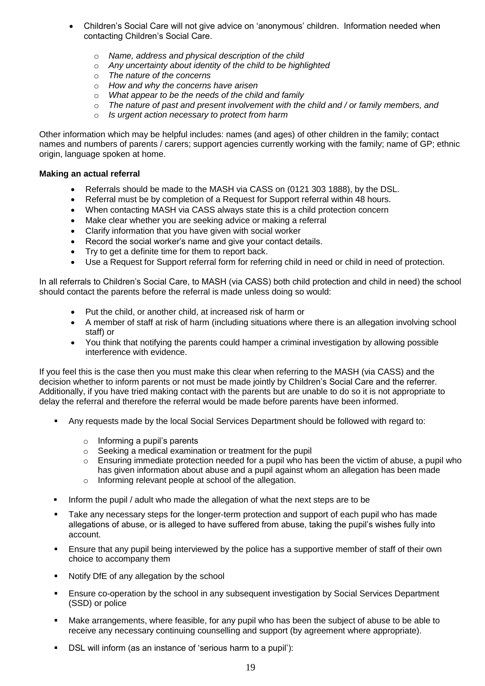- Children's Social Care will not give advice on 'anonymous' children. Information needed when contacting Children's Social Care.
	- o *Name, address and physical description of the child*
	- o *Any uncertainty about identity of the child to be highlighted*
	- o *The nature of the concerns*
	- o *How and why the concerns have arisen*
	- o *What appear to be the needs of the child and family*
	- o *The nature of past and present involvement with the child and / or family members, and*
	- o *Is urgent action necessary to protect from harm*

Other information which may be helpful includes: names (and ages) of other children in the family; contact names and numbers of parents / carers; support agencies currently working with the family; name of GP; ethnic origin, language spoken at home.

#### **Making an actual referral**

- Referrals should be made to the MASH via CASS on (0121 303 1888), by the DSL.
- Referral must be by completion of a Request for Support referral within 48 hours.
- When contacting MASH via CASS always state this is a child protection concern
- Make clear whether you are seeking advice or making a referral
- Clarify information that you have given with social worker
- Record the social worker's name and give your contact details.
- Try to get a definite time for them to report back.
- Use a Request for Support referral form for referring child in need or child in need of protection.

In all referrals to Children's Social Care, to MASH (via CASS) both child protection and child in need) the school should contact the parents before the referral is made unless doing so would:

- Put the child, or another child, at increased risk of harm or
- A member of staff at risk of harm (including situations where there is an allegation involving school staff) or
- You think that notifying the parents could hamper a criminal investigation by allowing possible interference with evidence.

If you feel this is the case then you must make this clear when referring to the MASH (via CASS) and the decision whether to inform parents or not must be made jointly by Children's Social Care and the referrer. Additionally, if you have tried making contact with the parents but are unable to do so it is not appropriate to delay the referral and therefore the referral would be made before parents have been informed.

- Any requests made by the local Social Services Department should be followed with regard to:
	- o Informing a pupil's parents
	- o Seeking a medical examination or treatment for the pupil
	- $\circ$  Ensuring immediate protection needed for a pupil who has been the victim of abuse, a pupil who has given information about abuse and a pupil against whom an allegation has been made
	- o Informing relevant people at school of the allegation.
- Inform the pupil / adult who made the allegation of what the next steps are to be
- Take any necessary steps for the longer-term protection and support of each pupil who has made allegations of abuse, or is alleged to have suffered from abuse, taking the pupil's wishes fully into account.
- Ensure that any pupil being interviewed by the police has a supportive member of staff of their own choice to accompany them
- Notify DfE of any allegation by the school
- Ensure co-operation by the school in any subsequent investigation by Social Services Department (SSD) or police
- Make arrangements, where feasible, for any pupil who has been the subject of abuse to be able to receive any necessary continuing counselling and support (by agreement where appropriate).
- DSL will inform (as an instance of 'serious harm to a pupil'):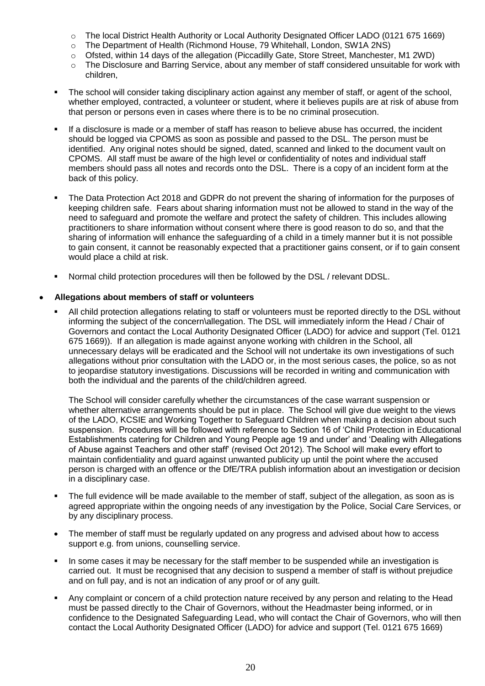- o The local District Health Authority or Local Authority Designated Officer LADO (0121 675 1669)
- o The Department of Health (Richmond House, 79 Whitehall, London, SW1A 2NS)
- o Ofsted, within 14 days of the allegation (Piccadilly Gate, Store Street, Manchester, M1 2WD)
- o The Disclosure and Barring Service, about any member of staff considered unsuitable for work with children,
- The school will consider taking disciplinary action against any member of staff, or agent of the school, whether employed, contracted, a volunteer or student, where it believes pupils are at risk of abuse from that person or persons even in cases where there is to be no criminal prosecution.
- If a disclosure is made or a member of staff has reason to believe abuse has occurred, the incident should be logged via CPOMS as soon as possible and passed to the DSL. The person must be identified. Any original notes should be signed, dated, scanned and linked to the document vault on CPOMS. All staff must be aware of the high level or confidentiality of notes and individual staff members should pass all notes and records onto the DSL. There is a copy of an incident form at the back of this policy.
- The Data Protection Act 2018 and GDPR do not prevent the sharing of information for the purposes of keeping children safe. Fears about sharing information must not be allowed to stand in the way of the need to safeguard and promote the welfare and protect the safety of children. This includes allowing practitioners to share information without consent where there is good reason to do so, and that the sharing of information will enhance the safeguarding of a child in a timely manner but it is not possible to gain consent, it cannot be reasonably expected that a practitioner gains consent, or if to gain consent would place a child at risk.
- Normal child protection procedures will then be followed by the DSL / relevant DDSL.

#### **Allegations about members of staff or volunteers**

 All child protection allegations relating to staff or volunteers must be reported directly to the DSL without informing the subject of the concern\allegation. The DSL will immediately inform the Head / Chair of Governors and contact the Local Authority Designated Officer (LADO) for advice and support (Tel. 0121 675 1669)). If an allegation is made against anyone working with children in the School, all unnecessary delays will be eradicated and the School will not undertake its own investigations of such allegations without prior consultation with the LADO or, in the most serious cases, the police, so as not to jeopardise statutory investigations. Discussions will be recorded in writing and communication with both the individual and the parents of the child/children agreed.

The School will consider carefully whether the circumstances of the case warrant suspension or whether alternative arrangements should be put in place. The School will give due weight to the views of the LADO, KCSIE and Working Together to Safeguard Children when making a decision about such suspension. Procedures will be followed with reference to Section 16 of 'Child Protection in Educational Establishments catering for Children and Young People age 19 and under' and 'Dealing with Allegations of Abuse against Teachers and other staff' (revised Oct 2012). The School will make every effort to maintain confidentiality and guard against unwanted publicity up until the point where the accused person is charged with an offence or the DfE/TRA publish information about an investigation or decision in a disciplinary case.

- The full evidence will be made available to the member of staff, subject of the allegation, as soon as is agreed appropriate within the ongoing needs of any investigation by the Police, Social Care Services, or by any disciplinary process.
- The member of staff must be regularly updated on any progress and advised about how to access support e.g. from unions, counselling service.
- In some cases it may be necessary for the staff member to be suspended while an investigation is carried out. It must be recognised that any decision to suspend a member of staff is without prejudice and on full pay, and is not an indication of any proof or of any guilt.
- Any complaint or concern of a child protection nature received by any person and relating to the Head must be passed directly to the Chair of Governors, without the Headmaster being informed, or in confidence to the Designated Safeguarding Lead, who will contact the Chair of Governors, who will then contact the Local Authority Designated Officer (LADO) for advice and support (Tel. 0121 675 1669)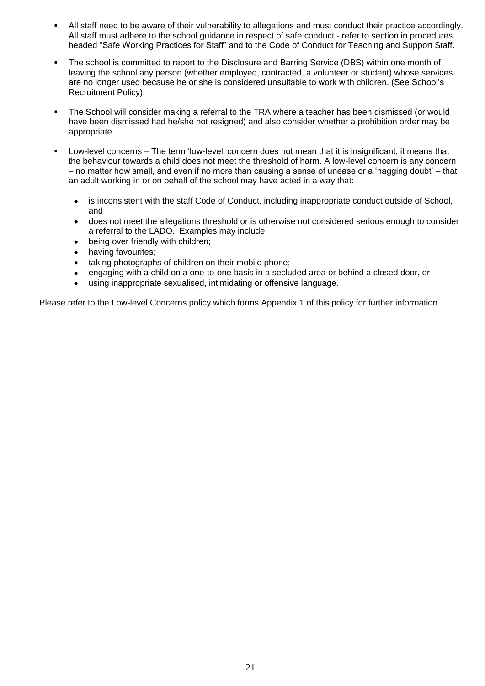- All staff need to be aware of their vulnerability to allegations and must conduct their practice accordingly. All staff must adhere to the school guidance in respect of safe conduct - refer to section in procedures headed "Safe Working Practices for Staff" and to the Code of Conduct for Teaching and Support Staff.
- The school is committed to report to the Disclosure and Barring Service (DBS) within one month of leaving the school any person (whether employed, contracted, a volunteer or student) whose services are no longer used because he or she is considered unsuitable to work with children. (See School's Recruitment Policy).
- The School will consider making a referral to the TRA where a teacher has been dismissed (or would have been dismissed had he/she not resigned) and also consider whether a prohibition order may be appropriate.
- Low-level concerns The term 'low-level' concern does not mean that it is insignificant, it means that the behaviour towards a child does not meet the threshold of harm. A low-level concern is any concern – no matter how small, and even if no more than causing a sense of unease or a 'nagging doubt' – that an adult working in or on behalf of the school may have acted in a way that:
	- is inconsistent with the staff Code of Conduct, including inappropriate conduct outside of School, and
	- does not meet the allegations threshold or is otherwise not considered serious enough to consider a referral to the LADO. Examples may include:
	- being over friendly with children;
	- having favourites;
	- taking photographs of children on their mobile phone;
	- engaging with a child on a one-to-one basis in a secluded area or behind a closed door, or
	- using inappropriate sexualised, intimidating or offensive language.

Please refer to the Low-level Concerns policy which forms Appendix 1 of this policy for further information.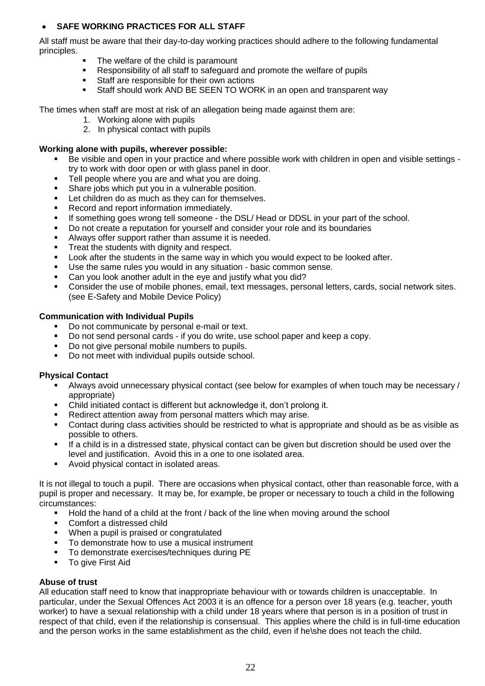# **SAFE WORKING PRACTICES FOR ALL STAFF**

All staff must be aware that their day-to-day working practices should adhere to the following fundamental principles.

- The welfare of the child is paramount
- Responsibility of all staff to safeguard and promote the welfare of pupils
- **Staff are responsible for their own actions**
- Staff should work AND BE SEEN TO WORK in an open and transparent way

The times when staff are most at risk of an allegation being made against them are:

- 1. Working alone with pupils
- 2. In physical contact with pupils

#### **Working alone with pupils, wherever possible:**

- Be visible and open in your practice and where possible work with children in open and visible settings try to work with door open or with glass panel in door.
- **Tell people where you are and what you are doing.**
- Share jobs which put you in a vulnerable position.
- **EXECT** Let children do as much as they can for themselves.
- Record and report information immediately.
- **If something goes wrong tell someone the DSL/ Head or DDSL in your part of the school.**
- Do not create a reputation for yourself and consider your role and its boundaries
- Always offer support rather than assume it is needed.
- Treat the students with dignity and respect.
- **Look after the students in the same way in which you would expect to be looked after.**
- Use the same rules you would in any situation basic common sense.
- Can you look another adult in the eye and justify what you did?
- Consider the use of mobile phones, email, text messages, personal letters, cards, social network sites. (see E-Safety and Mobile Device Policy)

#### **Communication with Individual Pupils**

- Do not communicate by personal e-mail or text.
- Do not send personal cards if you do write, use school paper and keep a copy.
- Do not give personal mobile numbers to pupils.
- Do not meet with individual pupils outside school.

#### **Physical Contact**

- Always avoid unnecessary physical contact (see below for examples of when touch may be necessary / appropriate)
- Child initiated contact is different but acknowledge it, don't prolong it.
- Redirect attention away from personal matters which may arise.
- Contact during class activities should be restricted to what is appropriate and should as be as visible as possible to others.
- If a child is in a distressed state, physical contact can be given but discretion should be used over the level and justification. Avoid this in a one to one isolated area.
- Avoid physical contact in isolated areas.

It is not illegal to touch a pupil. There are occasions when physical contact, other than reasonable force, with a pupil is proper and necessary. It may be, for example, be proper or necessary to touch a child in the following circumstances:

- Hold the hand of a child at the front / back of the line when moving around the school
- Comfort a distressed child
- When a pupil is praised or congratulated
- To demonstrate how to use a musical instrument
- To demonstrate exercises/techniques during PE
- **To give First Aid**

#### **Abuse of trust**

All education staff need to know that inappropriate behaviour with or towards children is unacceptable. In particular, under the Sexual Offences Act 2003 it is an offence for a person over 18 years (e.g. teacher, youth worker) to have a sexual relationship with a child under 18 years where that person is in a position of trust in respect of that child, even if the relationship is consensual. This applies where the child is in full-time education and the person works in the same establishment as the child, even if he\she does not teach the child.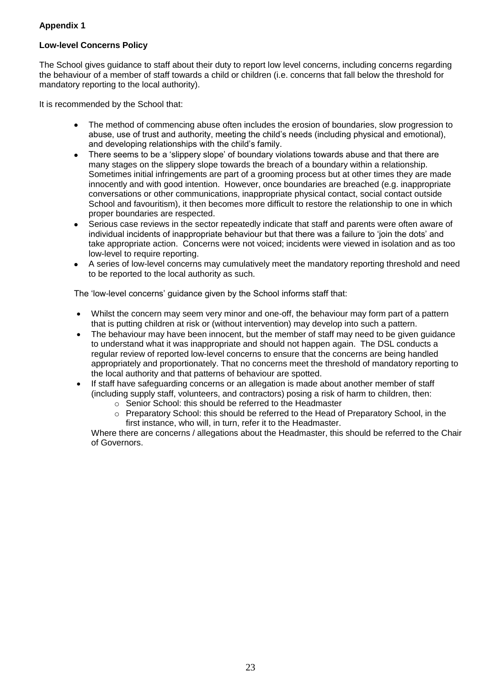# **Appendix 1**

# **Low-level Concerns Policy**

The School gives guidance to staff about their duty to report low level concerns, including concerns regarding the behaviour of a member of staff towards a child or children (i.e. concerns that fall below the threshold for mandatory reporting to the local authority).

It is recommended by the School that:

- The method of commencing abuse often includes the erosion of boundaries, slow progression to abuse, use of trust and authority, meeting the child's needs (including physical and emotional), and developing relationships with the child's family.
- There seems to be a 'slippery slope' of boundary violations towards abuse and that there are many stages on the slippery slope towards the breach of a boundary within a relationship. Sometimes initial infringements are part of a grooming process but at other times they are made innocently and with good intention. However, once boundaries are breached (e.g. inappropriate conversations or other communications, inappropriate physical contact, social contact outside School and favouritism), it then becomes more difficult to restore the relationship to one in which proper boundaries are respected.
- Serious case reviews in the sector repeatedly indicate that staff and parents were often aware of individual incidents of inappropriate behaviour but that there was a failure to 'join the dots' and take appropriate action. Concerns were not voiced; incidents were viewed in isolation and as too low-level to require reporting.
- A series of low-level concerns may cumulatively meet the mandatory reporting threshold and need to be reported to the local authority as such.

The 'low-level concerns' guidance given by the School informs staff that:

- Whilst the concern may seem very minor and one-off, the behaviour may form part of a pattern that is putting children at risk or (without intervention) may develop into such a pattern.
- The behaviour may have been innocent, but the member of staff may need to be given guidance to understand what it was inappropriate and should not happen again. The DSL conducts a regular review of reported low-level concerns to ensure that the concerns are being handled appropriately and proportionately. That no concerns meet the threshold of mandatory reporting to the local authority and that patterns of behaviour are spotted.
- If staff have safeguarding concerns or an allegation is made about another member of staff (including supply staff, volunteers, and contractors) posing a risk of harm to children, then:
	- o Senior School: this should be referred to the Headmaster
	- $\circ$  Preparatory School: this should be referred to the Head of Preparatory School, in the first instance, who will, in turn, refer it to the Headmaster.

Where there are concerns / allegations about the Headmaster, this should be referred to the Chair of Governors.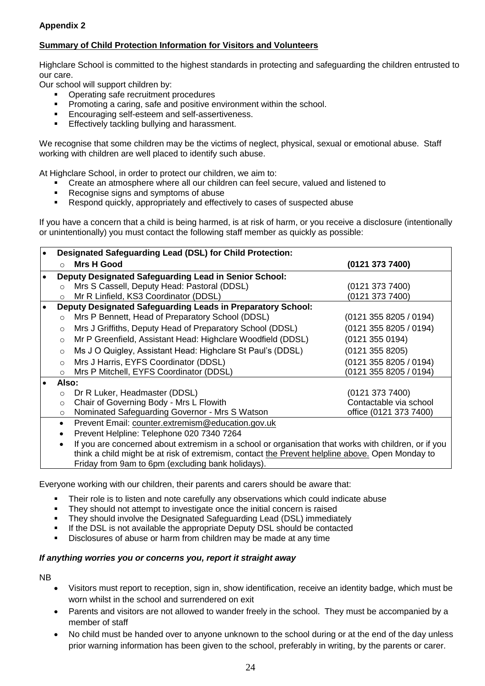# **Appendix 2**

# **Summary of Child Protection Information for Visitors and Volunteers**

Highclare School is committed to the highest standards in protecting and safeguarding the children entrusted to our care.

Our school will support children by:

- Operating safe recruitment procedures
- Promoting a caring, safe and positive environment within the school.
- **Encouraging self-esteem and self-assertiveness.**
- **Effectively tackling bullying and harassment.**

We recognise that some children may be the victims of neglect, physical, sexual or emotional abuse. Staff working with children are well placed to identify such abuse.

At Highclare School, in order to protect our children, we aim to:

- Create an atmosphere where all our children can feel secure, valued and listened to<br>■ Recognise signs and symptoms of abuse
- Recognise signs and symptoms of abuse<br>Respond quickly, appropriately and effect
- Respond quickly, appropriately and effectively to cases of suspected abuse

If you have a concern that a child is being harmed, is at risk of harm, or you receive a disclosure (intentionally or unintentionally) you must contact the following staff member as quickly as possible:

| Designated Safeguarding Lead (DSL) for Child Protection:                                        |                                                                                                      |                        |  |  |  |  |
|-------------------------------------------------------------------------------------------------|------------------------------------------------------------------------------------------------------|------------------------|--|--|--|--|
| $\cap$                                                                                          | <b>Mrs H Good</b>                                                                                    | (0121 373 7400)        |  |  |  |  |
|                                                                                                 | <b>Deputy Designated Safeguarding Lead in Senior School:</b>                                         |                        |  |  |  |  |
| $\Omega$                                                                                        | Mrs S Cassell, Deputy Head: Pastoral (DDSL)                                                          | (0121 373 7400)        |  |  |  |  |
| $\circ$                                                                                         | Mr R Linfield, KS3 Coordinator (DDSL)                                                                | (0121 373 7400)        |  |  |  |  |
| Deputy Designated Safeguarding Leads in Preparatory School:                                     |                                                                                                      |                        |  |  |  |  |
| $\Omega$                                                                                        | Mrs P Bennett, Head of Preparatory School (DDSL)                                                     | (0121 355 8205 / 0194) |  |  |  |  |
| $\circ$                                                                                         | Mrs J Griffiths, Deputy Head of Preparatory School (DDSL)                                            | (0121 355 8205 / 0194) |  |  |  |  |
| $\circ$                                                                                         | Mr P Greenfield, Assistant Head: Highclare Woodfield (DDSL)                                          | (0121 355 0194)        |  |  |  |  |
| $\circ$                                                                                         | Ms J O Quigley, Assistant Head: Highclare St Paul's (DDSL)                                           | (0121 355 8205)        |  |  |  |  |
| $\circ$                                                                                         | Mrs J Harris, EYFS Coordinator (DDSL)                                                                | (0121 355 8205 / 0194) |  |  |  |  |
| $\circ$                                                                                         | Mrs P Mitchell, EYFS Coordinator (DDSL)                                                              | (0121 355 8205 / 0194) |  |  |  |  |
| Also:                                                                                           |                                                                                                      |                        |  |  |  |  |
| $\circ$                                                                                         | Dr R Luker, Headmaster (DDSL)                                                                        | (0121 373 7400)        |  |  |  |  |
| $\circ$                                                                                         | Chair of Governing Body - Mrs L Flowith                                                              | Contactable via school |  |  |  |  |
| $\circ$                                                                                         | Nominated Safeguarding Governor - Mrs S Watson                                                       | office (0121 373 7400) |  |  |  |  |
| Prevent Email: counter.extremism@education.gov.uk<br>$\bullet$                                  |                                                                                                      |                        |  |  |  |  |
|                                                                                                 | Prevent Helpline: Telephone 020 7340 7264                                                            |                        |  |  |  |  |
|                                                                                                 | If you are concerned about extremism in a school or organisation that works with children, or if you |                        |  |  |  |  |
| think a child might be at risk of extremism, contact the Prevent helpline above. Open Monday to |                                                                                                      |                        |  |  |  |  |
| Friday from 9am to 6pm (excluding bank holidays).                                               |                                                                                                      |                        |  |  |  |  |

Everyone working with our children, their parents and carers should be aware that:

- Their role is to listen and note carefully any observations which could indicate abuse
- They should not attempt to investigate once the initial concern is raised
- They should involve the Designated Safeguarding Lead (DSL) immediately
- If the DSL is not available the appropriate Deputy DSL should be contacted
- Disclosures of abuse or harm from children may be made at any time

#### *If anything worries you or concerns you, report it straight away*

NB

- Visitors must report to reception, sign in, show identification, receive an identity badge, which must be worn whilst in the school and surrendered on exit
- Parents and visitors are not allowed to wander freely in the school. They must be accompanied by a member of staff
- No child must be handed over to anyone unknown to the school during or at the end of the day unless prior warning information has been given to the school, preferably in writing, by the parents or carer.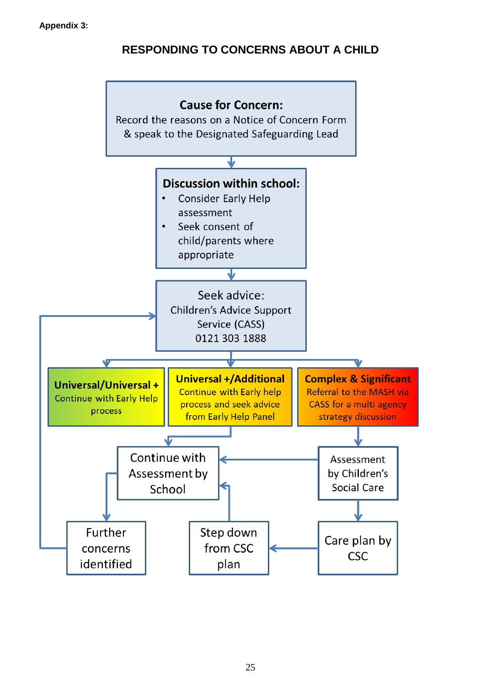# **RESPONDING TO CONCERNS ABOUT A CHILD**

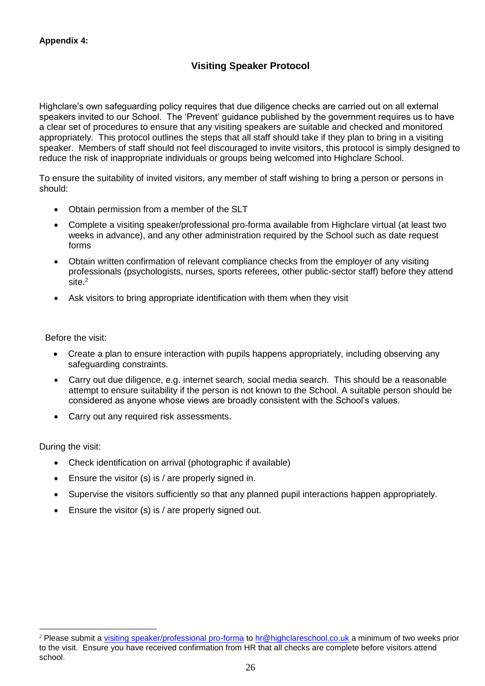# **Visiting Speaker Protocol**

Highclare's own safeguarding policy requires that due diligence checks are carried out on all external speakers invited to our School. The 'Prevent' guidance published by the government requires us to have a clear set of procedures to ensure that any visiting speakers are suitable and checked and monitored appropriately. This protocol outlines the steps that all staff should take if they plan to bring in a visiting speaker. Members of staff should not feel discouraged to invite visitors, this protocol is simply designed to reduce the risk of inappropriate individuals or groups being welcomed into Highclare School.

To ensure the suitability of invited visitors, any member of staff wishing to bring a person or persons in should:

- Obtain permission from a member of the SLT
- Complete a visiting speaker/professional pro-forma available from Highclare virtual (at least two weeks in advance), and any other administration required by the School such as date request forms
- Obtain written confirmation of relevant compliance checks from the employer of any visiting professionals (psychologists, nurses, sports referees, other public-sector staff) before they attend site.<sup>2</sup>
- Ask visitors to bring appropriate identification with them when they visit

Before the visit:

- Create a plan to ensure interaction with pupils happens appropriately, including observing any safeguarding constraints.
- Carry out due diligence, e.g. internet search, social media search. This should be a reasonable attempt to ensure suitability if the person is not known to the School. A suitable person should be considered as anyone whose views are broadly consistent with the School's values.
- Carry out any required risk assessments.

During the visit:

 $\overline{a}$ 

- Check identification on arrival (photographic if available)
- Ensure the visitor (s) is / are properly signed in.
- Supervise the visitors sufficiently so that any planned pupil interactions happen appropriately.
- Ensure the visitor (s) is / are properly signed out.

<sup>&</sup>lt;sup>2</sup> Please submit a [visiting speaker/professional pro-forma](https://highclare.fireflycloud.net/administrative-information/forms) to [hr@highclareschool.co.uk](mailto:hr@highclareschool.co.uk) a minimum of two weeks prior to the visit. Ensure you have received confirmation from HR that all checks are complete before visitors attend school.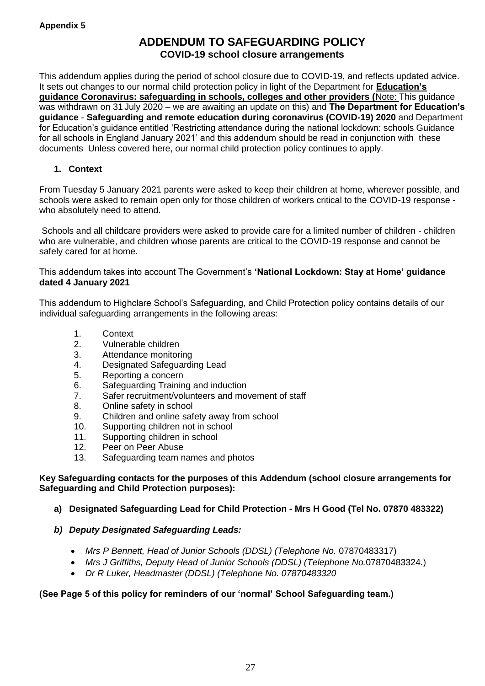# **ADDENDUM TO SAFEGUARDING POLICY COVID-19 school closure arrangements**

This addendum applies during the period of school closure due to COVID-19, and reflects updated advice. It sets out changes to our normal child protection policy in light of the Department for **Education's guidance Coronavirus: safeguarding in schools, colleges and other providers (**Note: This guidance was withdrawn on 31 July 2020 – we are awaiting an update on this) and **The Department for Education's guidance** - **Safeguarding and remote education during coronavirus (COVID-19) 2020** and Department for Education's guidance entitled 'Restricting attendance during the national lockdown: schools Guidance for all schools in England January 2021' and this addendum should be read in conjunction with these documents Unless covered here, our normal child protection policy continues to apply.

# **1. Context**

From Tuesday 5 January 2021 parents were asked to keep their children at home, wherever possible, and schools were asked to remain open only for those children of workers critical to the COVID-19 response who absolutely need to attend.

Schools and all childcare providers were asked to provide care for a limited number of children - children who are vulnerable, and children whose parents are critical to the COVID-19 response and cannot be safely cared for at home.

This addendum takes into account The Government's **'National Lockdown: Stay at Home' guidance dated 4 January 2021**

This addendum to Highclare School's Safeguarding, and Child Protection policy contains details of our individual safeguarding arrangements in the following areas:

- 1. Context
- 2. Vulnerable children
- 3. Attendance monitoring
- 4. Designated Safeguarding Lead
- 5. Reporting a concern
- 6. Safeguarding Training and induction
- 7. Safer recruitment/volunteers and movement of staff
- 8. Online safety in school
- 9. Children and online safety away from school
- 10. Supporting children not in school
- 11. Supporting children in school
- 12. Peer on Peer Abuse
- 13. Safeguarding team names and photos

#### **Key Safeguarding contacts for the purposes of this Addendum (school closure arrangements for Safeguarding and Child Protection purposes):**

- **a) Designated Safeguarding Lead for Child Protection - Mrs H Good (Tel No. 07870 483322)**
- *b) Deputy Designated Safeguarding Leads:*
	- *Mrs P Bennett, Head of Junior Schools (DDSL) (Telephone No.* 07870483317)
	- *Mrs J Griffiths, Deputy Head of Junior Schools (DDSL) (Telephone No.*07870483324*.*)
	- *Dr R Luker, Headmaster (DDSL) (Telephone No. 07870483320*

# **(See Page 5 of this policy for reminders of our 'normal' School Safeguarding team.)**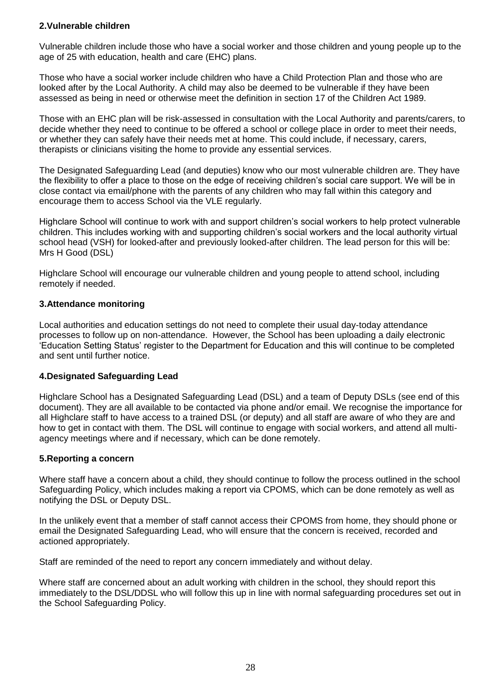# **2.Vulnerable children**

Vulnerable children include those who have a social worker and those children and young people up to the age of 25 with education, health and care (EHC) plans.

Those who have a social worker include children who have a Child Protection Plan and those who are looked after by the Local Authority. A child may also be deemed to be vulnerable if they have been assessed as being in need or otherwise meet the definition in section 17 of the Children Act 1989.

Those with an EHC plan will be risk-assessed in consultation with the Local Authority and parents/carers, to decide whether they need to continue to be offered a school or college place in order to meet their needs, or whether they can safely have their needs met at home. This could include, if necessary, carers, therapists or clinicians visiting the home to provide any essential services.

The Designated Safeguarding Lead (and deputies) know who our most vulnerable children are. They have the flexibility to offer a place to those on the edge of receiving children's social care support. We will be in close contact via email/phone with the parents of any children who may fall within this category and encourage them to access School via the VLE regularly.

Highclare School will continue to work with and support children's social workers to help protect vulnerable children. This includes working with and supporting children's social workers and the local authority virtual school head (VSH) for looked-after and previously looked-after children. The lead person for this will be: Mrs H Good (DSL)

Highclare School will encourage our vulnerable children and young people to attend school, including remotely if needed.

# **3.Attendance monitoring**

Local authorities and education settings do not need to complete their usual day-today attendance processes to follow up on non-attendance. However, the School has been uploading a daily electronic 'Education Setting Status' register to the Department for Education and this will continue to be completed and sent until further notice.

#### **4.Designated Safeguarding Lead**

Highclare School has a Designated Safeguarding Lead (DSL) and a team of Deputy DSLs (see end of this document). They are all available to be contacted via phone and/or email. We recognise the importance for all Highclare staff to have access to a trained DSL (or deputy) and all staff are aware of who they are and how to get in contact with them. The DSL will continue to engage with social workers, and attend all multiagency meetings where and if necessary, which can be done remotely.

#### **5.Reporting a concern**

Where staff have a concern about a child, they should continue to follow the process outlined in the school Safeguarding Policy, which includes making a report via CPOMS, which can be done remotely as well as notifying the DSL or Deputy DSL.

In the unlikely event that a member of staff cannot access their CPOMS from home, they should phone or email the Designated Safeguarding Lead, who will ensure that the concern is received, recorded and actioned appropriately.

Staff are reminded of the need to report any concern immediately and without delay.

Where staff are concerned about an adult working with children in the school, they should report this immediately to the DSL/DDSL who will follow this up in line with normal safeguarding procedures set out in the School Safeguarding Policy.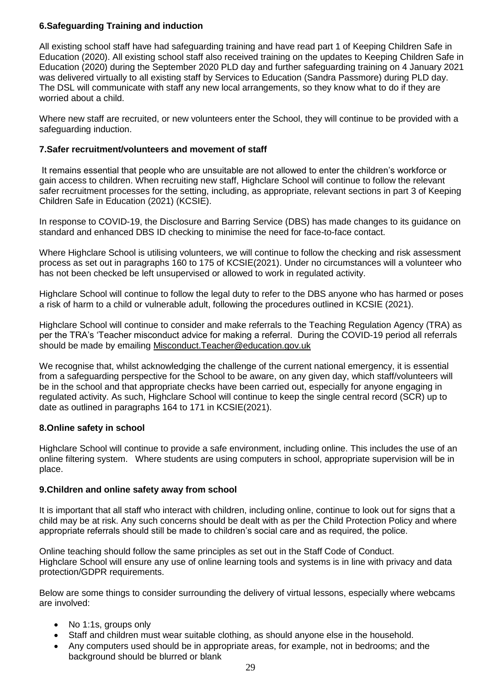# **6.Safeguarding Training and induction**

All existing school staff have had safeguarding training and have read part 1 of Keeping Children Safe in Education (2020). All existing school staff also received training on the updates to Keeping Children Safe in Education (2020) during the September 2020 PLD day and further safeguarding training on 4 January 2021 was delivered virtually to all existing staff by Services to Education (Sandra Passmore) during PLD day. The DSL will communicate with staff any new local arrangements, so they know what to do if they are worried about a child.

Where new staff are recruited, or new volunteers enter the School, they will continue to be provided with a safeguarding induction.

# **7.Safer recruitment/volunteers and movement of staff**

It remains essential that people who are unsuitable are not allowed to enter the children's workforce or gain access to children. When recruiting new staff, Highclare School will continue to follow the relevant safer recruitment processes for the setting, including, as appropriate, relevant sections in part 3 of Keeping Children Safe in Education (2021) (KCSIE).

In response to COVID-19, the Disclosure and Barring Service (DBS) has made changes to its guidance on standard and enhanced DBS ID checking to minimise the need for face-to-face contact.

Where Highclare School is utilising volunteers, we will continue to follow the checking and risk assessment process as set out in paragraphs 160 to 175 of KCSIE(2021). Under no circumstances will a volunteer who has not been checked be left unsupervised or allowed to work in regulated activity.

Highclare School will continue to follow the legal duty to refer to the DBS anyone who has harmed or poses a risk of harm to a child or vulnerable adult, following the procedures outlined in KCSIE (2021).

Highclare School will continue to consider and make referrals to the Teaching Regulation Agency (TRA) as per the TRA's 'Teacher misconduct advice for making a referral. During the COVID-19 period all referrals should be made by emailing [Misconduct.Teacher@education.gov.uk](mailto:Misconduct.Teacher@education.gov.uk)

We recognise that, whilst acknowledging the challenge of the current national emergency, it is essential from a safeguarding perspective for the School to be aware, on any given day, which staff/volunteers will be in the school and that appropriate checks have been carried out, especially for anyone engaging in regulated activity. As such, Highclare School will continue to keep the single central record (SCR) up to date as outlined in paragraphs 164 to 171 in KCSIE(2021).

#### **8.Online safety in school**

Highclare School will continue to provide a safe environment, including online. This includes the use of an online filtering system. Where students are using computers in school, appropriate supervision will be in place.

#### **9.Children and online safety away from school**

It is important that all staff who interact with children, including online, continue to look out for signs that a child may be at risk. Any such concerns should be dealt with as per the Child Protection Policy and where appropriate referrals should still be made to children's social care and as required, the police.

Online teaching should follow the same principles as set out in the Staff Code of Conduct. Highclare School will ensure any use of online learning tools and systems is in line with privacy and data protection/GDPR requirements.

Below are some things to consider surrounding the delivery of virtual lessons, especially where webcams are involved:

- No 1:1s, groups only
- Staff and children must wear suitable clothing, as should anyone else in the household.
- Any computers used should be in appropriate areas, for example, not in bedrooms; and the background should be blurred or blank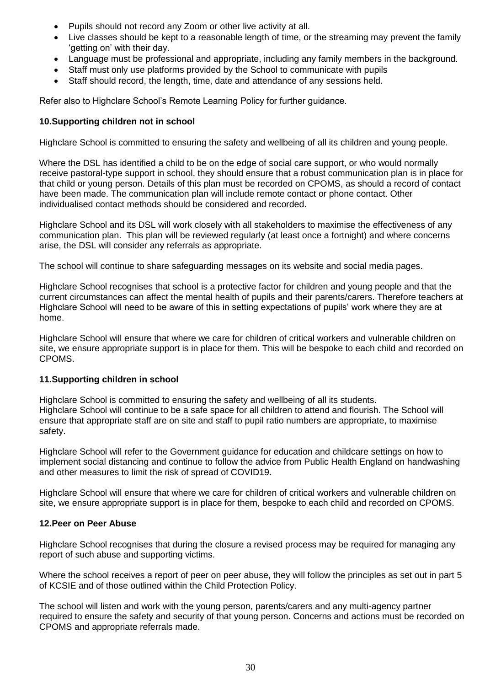- Pupils should not record any Zoom or other live activity at all.
- Live classes should be kept to a reasonable length of time, or the streaming may prevent the family 'getting on' with their day.
- Language must be professional and appropriate, including any family members in the background.
- Staff must only use platforms provided by the School to communicate with pupils
- Staff should record, the length, time, date and attendance of any sessions held.

Refer also to Highclare School's Remote Learning Policy for further guidance.

# **10.Supporting children not in school**

Highclare School is committed to ensuring the safety and wellbeing of all its children and young people.

Where the DSL has identified a child to be on the edge of social care support, or who would normally receive pastoral-type support in school, they should ensure that a robust communication plan is in place for that child or young person. Details of this plan must be recorded on CPOMS, as should a record of contact have been made. The communication plan will include remote contact or phone contact. Other individualised contact methods should be considered and recorded.

Highclare School and its DSL will work closely with all stakeholders to maximise the effectiveness of any communication plan. This plan will be reviewed regularly (at least once a fortnight) and where concerns arise, the DSL will consider any referrals as appropriate.

The school will continue to share safeguarding messages on its website and social media pages.

Highclare School recognises that school is a protective factor for children and young people and that the current circumstances can affect the mental health of pupils and their parents/carers. Therefore teachers at Highclare School will need to be aware of this in setting expectations of pupils' work where they are at home.

Highclare School will ensure that where we care for children of critical workers and vulnerable children on site, we ensure appropriate support is in place for them. This will be bespoke to each child and recorded on CPOMS.

#### **11.Supporting children in school**

Highclare School is committed to ensuring the safety and wellbeing of all its students. Highclare School will continue to be a safe space for all children to attend and flourish. The School will ensure that appropriate staff are on site and staff to pupil ratio numbers are appropriate, to maximise safety.

Highclare School will refer to the Government guidance for education and childcare settings on how to implement social distancing and continue to follow the advice from Public Health England on handwashing and other measures to limit the risk of spread of COVID19.

Highclare School will ensure that where we care for children of critical workers and vulnerable children on site, we ensure appropriate support is in place for them, bespoke to each child and recorded on CPOMS.

#### **12.Peer on Peer Abuse**

Highclare School recognises that during the closure a revised process may be required for managing any report of such abuse and supporting victims.

Where the school receives a report of peer on peer abuse, they will follow the principles as set out in part 5 of KCSIE and of those outlined within the Child Protection Policy.

The school will listen and work with the young person, parents/carers and any multi-agency partner required to ensure the safety and security of that young person. Concerns and actions must be recorded on CPOMS and appropriate referrals made.